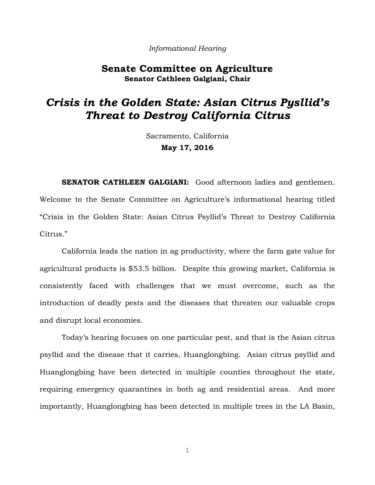#### *Informational Hearing*

## **Senate Committee on Agriculture Senator Cathleen Galgiani, Chair**

# *Crisis in the Golden State: Asian Citrus Pysllid's Threat to Destroy California Citrus*

Sacramento, California **May 17, 2016**

**SENATOR CATHLEEN GALGIANI:** Good afternoon ladies and gentlemen. Welcome to the Senate Committee on Agriculture's informational hearing titled "Crisis in the Golden State: Asian Citrus Psyllid's Threat to Destroy California Citrus."

California leads the nation in ag productivity, where the farm gate value for agricultural products is \$53.5 billion. Despite this growing market, California is consistently faced with challenges that we must overcome, such as the introduction of deadly pests and the diseases that threaten our valuable crops and disrupt local economies.

Today's hearing focuses on one particular pest, and that is the Asian citrus psyllid and the disease that it carries, Huanglongbing. Asian citrus psyllid and Huanglongbing have been detected in multiple counties throughout the state, requiring emergency quarantines in both ag and residential areas. And more importantly, Huanglongbing has been detected in multiple trees in the LA Basin,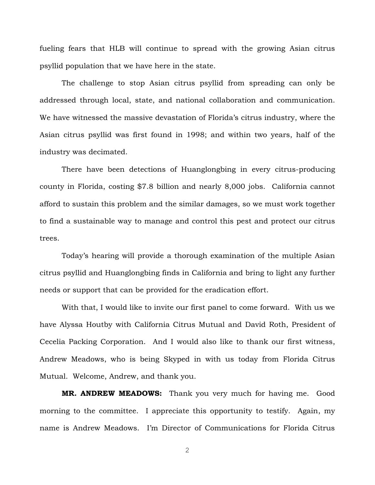fueling fears that HLB will continue to spread with the growing Asian citrus psyllid population that we have here in the state.

The challenge to stop Asian citrus psyllid from spreading can only be addressed through local, state, and national collaboration and communication. We have witnessed the massive devastation of Florida's citrus industry, where the Asian citrus psyllid was first found in 1998; and within two years, half of the industry was decimated.

There have been detections of Huanglongbing in every citrus-producing county in Florida, costing \$7.8 billion and nearly 8,000 jobs. California cannot afford to sustain this problem and the similar damages, so we must work together to find a sustainable way to manage and control this pest and protect our citrus trees.

Today's hearing will provide a thorough examination of the multiple Asian citrus psyllid and Huanglongbing finds in California and bring to light any further needs or support that can be provided for the eradication effort.

With that, I would like to invite our first panel to come forward. With us we have Alyssa Houtby with California Citrus Mutual and David Roth, President of Cecelia Packing Corporation. And I would also like to thank our first witness, Andrew Meadows, who is being Skyped in with us today from Florida Citrus Mutual. Welcome, Andrew, and thank you.

**MR. ANDREW MEADOWS:** Thank you very much for having me. Good morning to the committee. I appreciate this opportunity to testify. Again, my name is Andrew Meadows. I'm Director of Communications for Florida Citrus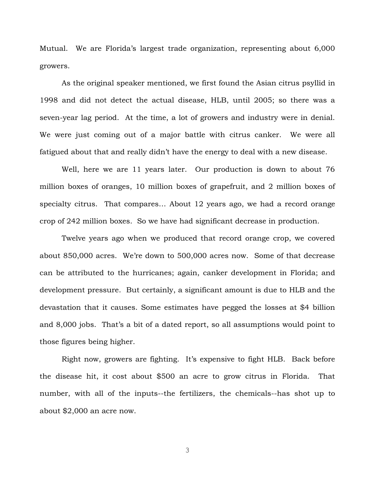Mutual. We are Florida's largest trade organization, representing about 6,000 growers.

As the original speaker mentioned, we first found the Asian citrus psyllid in 1998 and did not detect the actual disease, HLB, until 2005; so there was a seven-year lag period. At the time, a lot of growers and industry were in denial. We were just coming out of a major battle with citrus canker. We were all fatigued about that and really didn't have the energy to deal with a new disease.

Well, here we are 11 years later. Our production is down to about 76 million boxes of oranges, 10 million boxes of grapefruit, and 2 million boxes of specialty citrus. That compares… About 12 years ago, we had a record orange crop of 242 million boxes. So we have had significant decrease in production.

Twelve years ago when we produced that record orange crop, we covered about 850,000 acres. We're down to 500,000 acres now. Some of that decrease can be attributed to the hurricanes; again, canker development in Florida; and development pressure. But certainly, a significant amount is due to HLB and the devastation that it causes. Some estimates have pegged the losses at \$4 billion and 8,000 jobs. That's a bit of a dated report, so all assumptions would point to those figures being higher.

Right now, growers are fighting. It's expensive to fight HLB. Back before the disease hit, it cost about \$500 an acre to grow citrus in Florida. That number, with all of the inputs--the fertilizers, the chemicals--has shot up to about \$2,000 an acre now.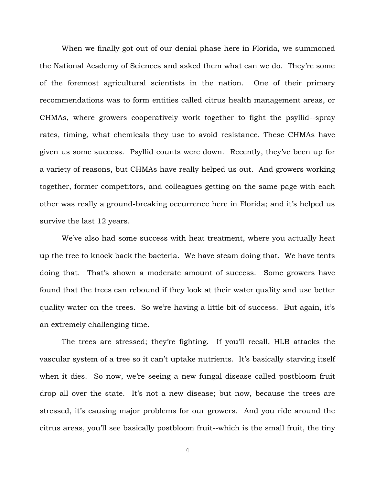When we finally got out of our denial phase here in Florida, we summoned the National Academy of Sciences and asked them what can we do. They're some of the foremost agricultural scientists in the nation. One of their primary recommendations was to form entities called citrus health management areas, or CHMAs, where growers cooperatively work together to fight the psyllid--spray rates, timing, what chemicals they use to avoid resistance. These CHMAs have given us some success. Psyllid counts were down. Recently, they've been up for a variety of reasons, but CHMAs have really helped us out. And growers working together, former competitors, and colleagues getting on the same page with each other was really a ground-breaking occurrence here in Florida; and it's helped us survive the last 12 years.

We've also had some success with heat treatment, where you actually heat up the tree to knock back the bacteria. We have steam doing that. We have tents doing that. That's shown a moderate amount of success. Some growers have found that the trees can rebound if they look at their water quality and use better quality water on the trees. So we're having a little bit of success. But again, it's an extremely challenging time.

The trees are stressed; they're fighting. If you'll recall, HLB attacks the vascular system of a tree so it can't uptake nutrients. It's basically starving itself when it dies. So now, we're seeing a new fungal disease called postbloom fruit drop all over the state. It's not a new disease; but now, because the trees are stressed, it's causing major problems for our growers. And you ride around the citrus areas, you'll see basically postbloom fruit--which is the small fruit, the tiny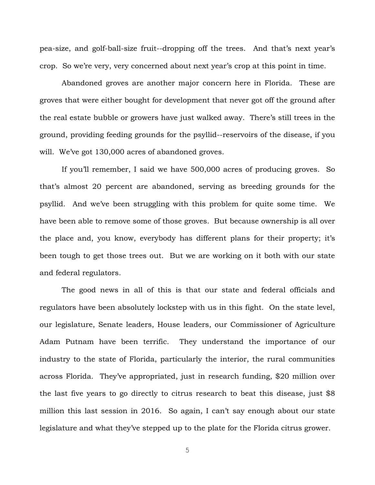pea-size, and golf-ball-size fruit--dropping off the trees. And that's next year's crop. So we're very, very concerned about next year's crop at this point in time.

Abandoned groves are another major concern here in Florida. These are groves that were either bought for development that never got off the ground after the real estate bubble or growers have just walked away. There's still trees in the ground, providing feeding grounds for the psyllid--reservoirs of the disease, if you will. We've got 130,000 acres of abandoned groves.

If you'll remember, I said we have 500,000 acres of producing groves. So that's almost 20 percent are abandoned, serving as breeding grounds for the psyllid. And we've been struggling with this problem for quite some time. We have been able to remove some of those groves. But because ownership is all over the place and, you know, everybody has different plans for their property; it's been tough to get those trees out. But we are working on it both with our state and federal regulators.

The good news in all of this is that our state and federal officials and regulators have been absolutely lockstep with us in this fight. On the state level, our legislature, Senate leaders, House leaders, our Commissioner of Agriculture Adam Putnam have been terrific. They understand the importance of our industry to the state of Florida, particularly the interior, the rural communities across Florida. They've appropriated, just in research funding, \$20 million over the last five years to go directly to citrus research to beat this disease, just \$8 million this last session in 2016. So again, I can't say enough about our state legislature and what they've stepped up to the plate for the Florida citrus grower.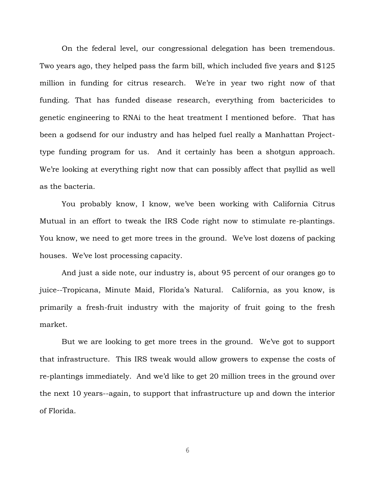On the federal level, our congressional delegation has been tremendous. Two years ago, they helped pass the farm bill, which included five years and \$125 million in funding for citrus research. We're in year two right now of that funding. That has funded disease research, everything from bactericides to genetic engineering to RNAi to the heat treatment I mentioned before. That has been a godsend for our industry and has helped fuel really a Manhattan Projecttype funding program for us. And it certainly has been a shotgun approach. We're looking at everything right now that can possibly affect that psyllid as well as the bacteria.

You probably know, I know, we've been working with California Citrus Mutual in an effort to tweak the IRS Code right now to stimulate re-plantings. You know, we need to get more trees in the ground. We've lost dozens of packing houses. We've lost processing capacity.

And just a side note, our industry is, about 95 percent of our oranges go to juice--Tropicana, Minute Maid, Florida's Natural. California, as you know, is primarily a fresh-fruit industry with the majority of fruit going to the fresh market.

But we are looking to get more trees in the ground. We've got to support that infrastructure. This IRS tweak would allow growers to expense the costs of re-plantings immediately. And we'd like to get 20 million trees in the ground over the next 10 years--again, to support that infrastructure up and down the interior of Florida.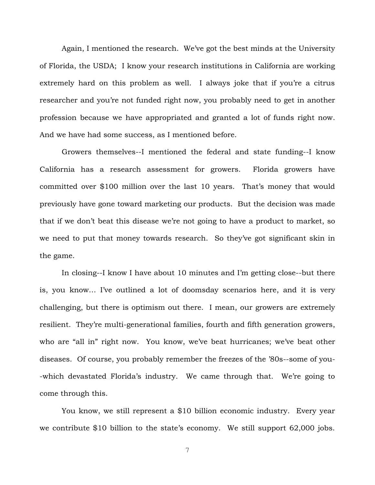Again, I mentioned the research. We've got the best minds at the University of Florida, the USDA; I know your research institutions in California are working extremely hard on this problem as well. I always joke that if you're a citrus researcher and you're not funded right now, you probably need to get in another profession because we have appropriated and granted a lot of funds right now. And we have had some success, as I mentioned before.

Growers themselves--I mentioned the federal and state funding--I know California has a research assessment for growers. Florida growers have committed over \$100 million over the last 10 years. That's money that would previously have gone toward marketing our products. But the decision was made that if we don't beat this disease we're not going to have a product to market, so we need to put that money towards research. So they've got significant skin in the game.

In closing--I know I have about 10 minutes and I'm getting close--but there is, you know… I've outlined a lot of doomsday scenarios here, and it is very challenging, but there is optimism out there. I mean, our growers are extremely resilient. They're multi-generational families, fourth and fifth generation growers, who are "all in" right now. You know, we've beat hurricanes; we've beat other diseases. Of course, you probably remember the freezes of the '80s--some of you- -which devastated Florida's industry. We came through that. We're going to come through this.

You know, we still represent a \$10 billion economic industry. Every year we contribute \$10 billion to the state's economy. We still support 62,000 jobs.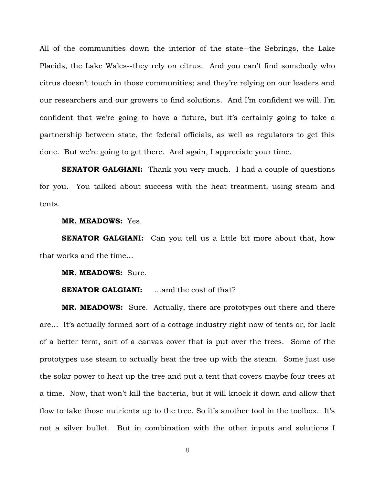All of the communities down the interior of the state--the Sebrings, the Lake Placids, the Lake Wales--they rely on citrus. And you can't find somebody who citrus doesn't touch in those communities; and they're relying on our leaders and our researchers and our growers to find solutions. And I'm confident we will. I'm confident that we're going to have a future, but it's certainly going to take a partnership between state, the federal officials, as well as regulators to get this done. But we're going to get there. And again, I appreciate your time.

**SENATOR GALGIANI:** Thank you very much. I had a couple of questions for you. You talked about success with the heat treatment, using steam and tents.

#### **MR. MEADOWS:** Yes.

**SENATOR GALGIANI:** Can you tell us a little bit more about that, how that works and the time…

**MR. MEADOWS:** Sure.

## **SENATOR GALGIANI:** …and the cost of that?

**MR. MEADOWS:** Sure. Actually, there are prototypes out there and there are… It's actually formed sort of a cottage industry right now of tents or, for lack of a better term, sort of a canvas cover that is put over the trees. Some of the prototypes use steam to actually heat the tree up with the steam. Some just use the solar power to heat up the tree and put a tent that covers maybe four trees at a time. Now, that won't kill the bacteria, but it will knock it down and allow that flow to take those nutrients up to the tree. So it's another tool in the toolbox. It's not a silver bullet. But in combination with the other inputs and solutions I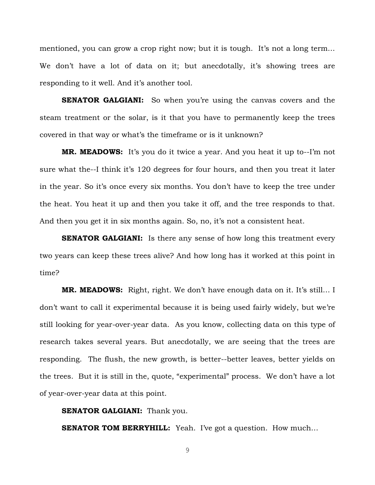mentioned, you can grow a crop right now; but it is tough. It's not a long term… We don't have a lot of data on it; but anecdotally, it's showing trees are responding to it well. And it's another tool.

**SENATOR GALGIANI:** So when you're using the canvas covers and the steam treatment or the solar, is it that you have to permanently keep the trees covered in that way or what's the timeframe or is it unknown?

**MR. MEADOWS:** It's you do it twice a year. And you heat it up to--I'm not sure what the--I think it's 120 degrees for four hours, and then you treat it later in the year. So it's once every six months. You don't have to keep the tree under the heat. You heat it up and then you take it off, and the tree responds to that. And then you get it in six months again. So, no, it's not a consistent heat.

**SENATOR GALGIANI:** Is there any sense of how long this treatment every two years can keep these trees alive? And how long has it worked at this point in time?

**MR. MEADOWS:** Right, right. We don't have enough data on it. It's still… I don't want to call it experimental because it is being used fairly widely, but we're still looking for year-over-year data. As you know, collecting data on this type of research takes several years. But anecdotally, we are seeing that the trees are responding. The flush, the new growth, is better--better leaves, better yields on the trees. But it is still in the, quote, "experimental" process. We don't have a lot of year-over-year data at this point.

**SENATOR GALGIANI:** Thank you.

**SENATOR TOM BERRYHILL:** Yeah. I've got a question. How much...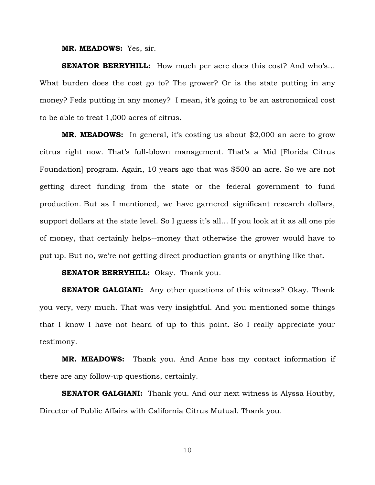#### **MR. MEADOWS:** Yes, sir.

**SENATOR BERRYHILL:** How much per acre does this cost? And who's… What burden does the cost go to? The grower? Or is the state putting in any money? Feds putting in any money? I mean, it's going to be an astronomical cost to be able to treat 1,000 acres of citrus.

**MR. MEADOWS:** In general, it's costing us about \$2,000 an acre to grow citrus right now. That's full-blown management. That's a Mid [Florida Citrus Foundation] program. Again, 10 years ago that was \$500 an acre. So we are not getting direct funding from the state or the federal government to fund production. But as I mentioned, we have garnered significant research dollars, support dollars at the state level. So I guess it's all… If you look at it as all one pie of money, that certainly helps--money that otherwise the grower would have to put up. But no, we're not getting direct production grants or anything like that.

## **SENATOR BERRYHILL:** Okay. Thank you.

**SENATOR GALGIANI:** Any other questions of this witness? Okay. Thank you very, very much. That was very insightful. And you mentioned some things that I know I have not heard of up to this point. So I really appreciate your testimony.

**MR. MEADOWS:** Thank you. And Anne has my contact information if there are any follow-up questions, certainly.

**SENATOR GALGIANI:** Thank you. And our next witness is Alyssa Houtby, Director of Public Affairs with California Citrus Mutual. Thank you.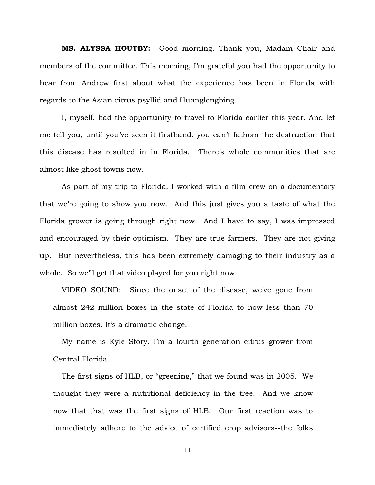**MS. ALYSSA HOUTBY:** Good morning. Thank you, Madam Chair and members of the committee. This morning, I'm grateful you had the opportunity to hear from Andrew first about what the experience has been in Florida with regards to the Asian citrus psyllid and Huanglongbing.

I, myself, had the opportunity to travel to Florida earlier this year. And let me tell you, until you've seen it firsthand, you can't fathom the destruction that this disease has resulted in in Florida. There's whole communities that are almost like ghost towns now.

As part of my trip to Florida, I worked with a film crew on a documentary that we're going to show you now. And this just gives you a taste of what the Florida grower is going through right now. And I have to say, I was impressed and encouraged by their optimism. They are true farmers. They are not giving up. But nevertheless, this has been extremely damaging to their industry as a whole. So we'll get that video played for you right now.

VIDEO SOUND: Since the onset of the disease, we've gone from almost 242 million boxes in the state of Florida to now less than 70 million boxes. It's a dramatic change.

My name is Kyle Story. I'm a fourth generation citrus grower from Central Florida.

The first signs of HLB, or "greening," that we found was in 2005. We thought they were a nutritional deficiency in the tree. And we know now that that was the first signs of HLB. Our first reaction was to immediately adhere to the advice of certified crop advisors--the folks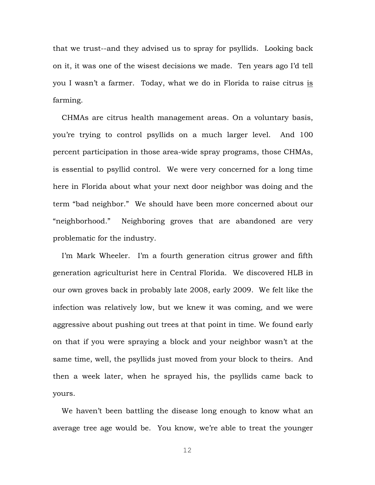that we trust--and they advised us to spray for psyllids. Looking back on it, it was one of the wisest decisions we made. Ten years ago I'd tell you I wasn't a farmer. Today, what we do in Florida to raise citrus is farming.

CHMAs are citrus health management areas. On a voluntary basis, you're trying to control psyllids on a much larger level. And 100 percent participation in those area-wide spray programs, those CHMAs, is essential to psyllid control. We were very concerned for a long time here in Florida about what your next door neighbor was doing and the term "bad neighbor." We should have been more concerned about our "neighborhood." Neighboring groves that are abandoned are very problematic for the industry.

I'm Mark Wheeler. I'm a fourth generation citrus grower and fifth generation agriculturist here in Central Florida. We discovered HLB in our own groves back in probably late 2008, early 2009. We felt like the infection was relatively low, but we knew it was coming, and we were aggressive about pushing out trees at that point in time. We found early on that if you were spraying a block and your neighbor wasn't at the same time, well, the psyllids just moved from your block to theirs. And then a week later, when he sprayed his, the psyllids came back to yours.

We haven't been battling the disease long enough to know what an average tree age would be. You know, we're able to treat the younger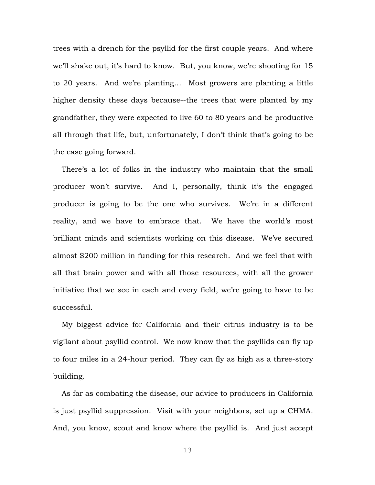trees with a drench for the psyllid for the first couple years. And where we'll shake out, it's hard to know. But, you know, we're shooting for 15 to 20 years. And we're planting… Most growers are planting a little higher density these days because--the trees that were planted by my grandfather, they were expected to live 60 to 80 years and be productive all through that life, but, unfortunately, I don't think that's going to be the case going forward.

There's a lot of folks in the industry who maintain that the small producer won't survive. And I, personally, think it's the engaged producer is going to be the one who survives. We're in a different reality, and we have to embrace that. We have the world's most brilliant minds and scientists working on this disease. We've secured almost \$200 million in funding for this research. And we feel that with all that brain power and with all those resources, with all the grower initiative that we see in each and every field, we're going to have to be successful.

My biggest advice for California and their citrus industry is to be vigilant about psyllid control. We now know that the psyllids can fly up to four miles in a 24-hour period. They can fly as high as a three-story building.

As far as combating the disease, our advice to producers in California is just psyllid suppression. Visit with your neighbors, set up a CHMA. And, you know, scout and know where the psyllid is. And just accept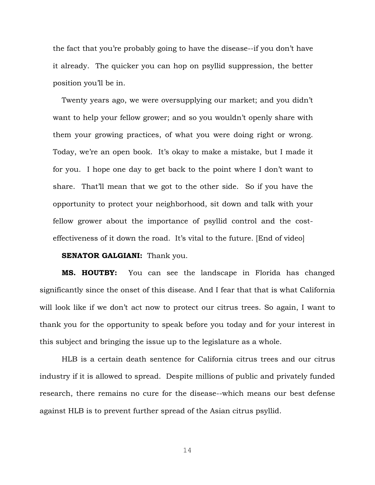the fact that you're probably going to have the disease--if you don't have it already. The quicker you can hop on psyllid suppression, the better position you'll be in.

Twenty years ago, we were oversupplying our market; and you didn't want to help your fellow grower; and so you wouldn't openly share with them your growing practices, of what you were doing right or wrong. Today, we're an open book. It's okay to make a mistake, but I made it for you. I hope one day to get back to the point where I don't want to share. That'll mean that we got to the other side. So if you have the opportunity to protect your neighborhood, sit down and talk with your fellow grower about the importance of psyllid control and the costeffectiveness of it down the road. It's vital to the future. [End of video]

## **SENATOR GALGIANI:** Thank you.

**MS. HOUTBY:** You can see the landscape in Florida has changed significantly since the onset of this disease. And I fear that that is what California will look like if we don't act now to protect our citrus trees. So again, I want to thank you for the opportunity to speak before you today and for your interest in this subject and bringing the issue up to the legislature as a whole.

HLB is a certain death sentence for California citrus trees and our citrus industry if it is allowed to spread. Despite millions of public and privately funded research, there remains no cure for the disease--which means our best defense against HLB is to prevent further spread of the Asian citrus psyllid.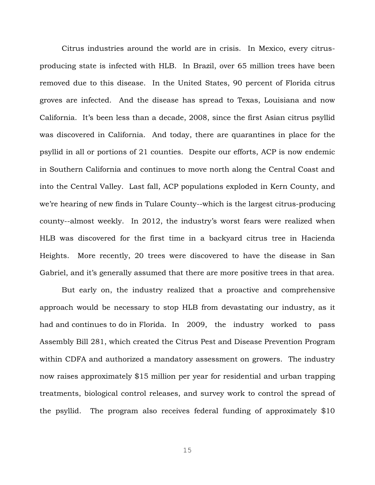Citrus industries around the world are in crisis. In Mexico, every citrusproducing state is infected with HLB. In Brazil, over 65 million trees have been removed due to this disease. In the United States, 90 percent of Florida citrus groves are infected. And the disease has spread to Texas, Louisiana and now California. It's been less than a decade, 2008, since the first Asian citrus psyllid was discovered in California. And today, there are quarantines in place for the psyllid in all or portions of 21 counties. Despite our efforts, ACP is now endemic in Southern California and continues to move north along the Central Coast and into the Central Valley. Last fall, ACP populations exploded in Kern County, and we're hearing of new finds in Tulare County--which is the largest citrus-producing county--almost weekly. In 2012, the industry's worst fears were realized when HLB was discovered for the first time in a backyard citrus tree in Hacienda Heights. More recently, 20 trees were discovered to have the disease in San Gabriel, and it's generally assumed that there are more positive trees in that area.

But early on, the industry realized that a proactive and comprehensive approach would be necessary to stop HLB from devastating our industry, as it had and continues to do in Florida. In 2009, the industry worked to pass Assembly Bill 281, which created the Citrus Pest and Disease Prevention Program within CDFA and authorized a mandatory assessment on growers. The industry now raises approximately \$15 million per year for residential and urban trapping treatments, biological control releases, and survey work to control the spread of the psyllid. The program also receives federal funding of approximately \$10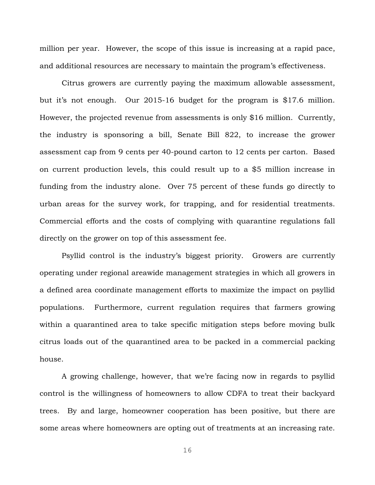million per year. However, the scope of this issue is increasing at a rapid pace, and additional resources are necessary to maintain the program's effectiveness.

Citrus growers are currently paying the maximum allowable assessment, but it's not enough. Our 2015-16 budget for the program is \$17.6 million. However, the projected revenue from assessments is only \$16 million. Currently, the industry is sponsoring a bill, Senate Bill 822, to increase the grower assessment cap from 9 cents per 40-pound carton to 12 cents per carton. Based on current production levels, this could result up to a \$5 million increase in funding from the industry alone. Over 75 percent of these funds go directly to urban areas for the survey work, for trapping, and for residential treatments. Commercial efforts and the costs of complying with quarantine regulations fall directly on the grower on top of this assessment fee.

Psyllid control is the industry's biggest priority. Growers are currently operating under regional areawide management strategies in which all growers in a defined area coordinate management efforts to maximize the impact on psyllid populations. Furthermore, current regulation requires that farmers growing within a quarantined area to take specific mitigation steps before moving bulk citrus loads out of the quarantined area to be packed in a commercial packing house.

A growing challenge, however, that we're facing now in regards to psyllid control is the willingness of homeowners to allow CDFA to treat their backyard trees. By and large, homeowner cooperation has been positive, but there are some areas where homeowners are opting out of treatments at an increasing rate.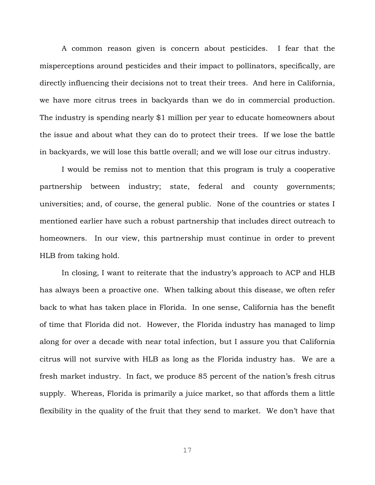A common reason given is concern about pesticides. I fear that the misperceptions around pesticides and their impact to pollinators, specifically, are directly influencing their decisions not to treat their trees. And here in California, we have more citrus trees in backyards than we do in commercial production. The industry is spending nearly \$1 million per year to educate homeowners about the issue and about what they can do to protect their trees. If we lose the battle in backyards, we will lose this battle overall; and we will lose our citrus industry.

I would be remiss not to mention that this program is truly a cooperative partnership between industry; state, federal and county governments; universities; and, of course, the general public. None of the countries or states I mentioned earlier have such a robust partnership that includes direct outreach to homeowners. In our view, this partnership must continue in order to prevent HLB from taking hold.

In closing, I want to reiterate that the industry's approach to ACP and HLB has always been a proactive one. When talking about this disease, we often refer back to what has taken place in Florida. In one sense, California has the benefit of time that Florida did not. However, the Florida industry has managed to limp along for over a decade with near total infection, but I assure you that California citrus will not survive with HLB as long as the Florida industry has. We are a fresh market industry. In fact, we produce 85 percent of the nation's fresh citrus supply. Whereas, Florida is primarily a juice market, so that affords them a little flexibility in the quality of the fruit that they send to market. We don't have that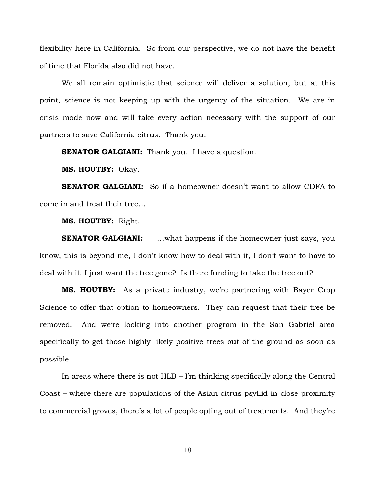flexibility here in California. So from our perspective, we do not have the benefit of time that Florida also did not have.

We all remain optimistic that science will deliver a solution, but at this point, science is not keeping up with the urgency of the situation. We are in crisis mode now and will take every action necessary with the support of our partners to save California citrus. Thank you.

**SENATOR GALGIANI:** Thank you. I have a question.

**MS. HOUTBY:** Okay.

**SENATOR GALGIANI:** So if a homeowner doesn't want to allow CDFA to come in and treat their tree…

**MS. HOUTBY:** Right.

**SENATOR GALGIANI:** …what happens if the homeowner just says, you know, this is beyond me, I don't know how to deal with it, I don't want to have to deal with it, I just want the tree gone? Is there funding to take the tree out?

**MS. HOUTBY:** As a private industry, we're partnering with Bayer Crop Science to offer that option to homeowners. They can request that their tree be removed. And we're looking into another program in the San Gabriel area specifically to get those highly likely positive trees out of the ground as soon as possible.

In areas where there is not HLB – I'm thinking specifically along the Central Coast – where there are populations of the Asian citrus psyllid in close proximity to commercial groves, there's a lot of people opting out of treatments. And they're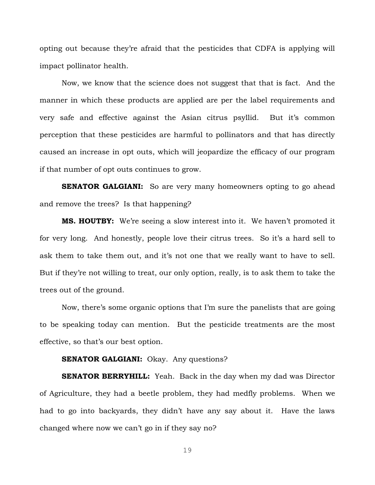opting out because they're afraid that the pesticides that CDFA is applying will impact pollinator health.

Now, we know that the science does not suggest that that is fact. And the manner in which these products are applied are per the label requirements and very safe and effective against the Asian citrus psyllid. But it's common perception that these pesticides are harmful to pollinators and that has directly caused an increase in opt outs, which will jeopardize the efficacy of our program if that number of opt outs continues to grow.

**SENATOR GALGIANI:** So are very many homeowners opting to go ahead and remove the trees? Is that happening?

**MS. HOUTBY:** We're seeing a slow interest into it. We haven't promoted it for very long. And honestly, people love their citrus trees. So it's a hard sell to ask them to take them out, and it's not one that we really want to have to sell. But if they're not willing to treat, our only option, really, is to ask them to take the trees out of the ground.

Now, there's some organic options that I'm sure the panelists that are going to be speaking today can mention. But the pesticide treatments are the most effective, so that's our best option.

## **SENATOR GALGIANI:** Okay. Any questions?

**SENATOR BERRYHILL:** Yeah. Back in the day when my dad was Director of Agriculture, they had a beetle problem, they had medfly problems. When we had to go into backyards, they didn't have any say about it. Have the laws changed where now we can't go in if they say no?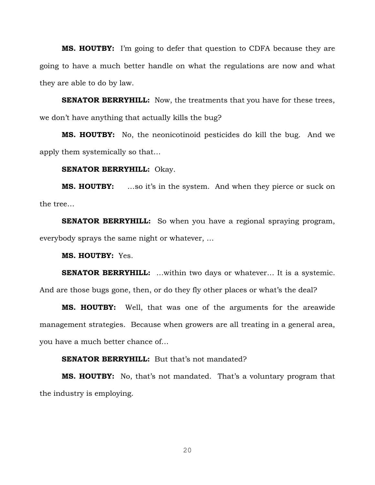**MS. HOUTBY:** I'm going to defer that question to CDFA because they are going to have a much better handle on what the regulations are now and what they are able to do by law.

**SENATOR BERRYHILL:** Now, the treatments that you have for these trees, we don't have anything that actually kills the bug?

**MS. HOUTBY:** No, the neonicotinoid pesticides do kill the bug. And we apply them systemically so that…

#### **SENATOR BERRYHILL:** Okay.

**MS. HOUTBY:** …so it's in the system. And when they pierce or suck on the tree…

**SENATOR BERRYHILL:** So when you have a regional spraying program, everybody sprays the same night or whatever, …

**MS. HOUTBY:** Yes.

**SENATOR BERRYHILL:** ...within two days or whatever... It is a systemic.

And are those bugs gone, then, or do they fly other places or what's the deal?

**MS. HOUTBY:** Well, that was one of the arguments for the areawide management strategies. Because when growers are all treating in a general area, you have a much better chance of…

#### **SENATOR BERRYHILL:** But that's not mandated?

**MS. HOUTBY:** No, that's not mandated. That's a voluntary program that the industry is employing.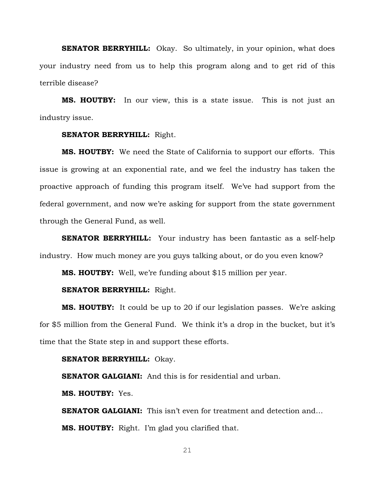**SENATOR BERRYHILL:** Okay. So ultimately, in your opinion, what does your industry need from us to help this program along and to get rid of this terrible disease?

**MS. HOUTBY:** In our view, this is a state issue. This is not just an industry issue.

#### **SENATOR BERRYHILL:** Right.

**MS. HOUTBY:** We need the State of California to support our efforts. This issue is growing at an exponential rate, and we feel the industry has taken the proactive approach of funding this program itself. We've had support from the federal government, and now we're asking for support from the state government through the General Fund, as well.

**SENATOR BERRYHILL:** Your industry has been fantastic as a self-help industry. How much money are you guys talking about, or do you even know?

**MS. HOUTBY:** Well, we're funding about \$15 million per year.

## **SENATOR BERRYHILL:** Right.

**MS. HOUTBY:** It could be up to 20 if our legislation passes. We're asking for \$5 million from the General Fund. We think it's a drop in the bucket, but it's time that the State step in and support these efforts.

#### **SENATOR BERRYHILL:** Okay.

**SENATOR GALGIANI:** And this is for residential and urban.

**MS. HOUTBY:** Yes.

**SENATOR GALGIANI:** This isn't even for treatment and detection and... **MS. HOUTBY:** Right. I'm glad you clarified that.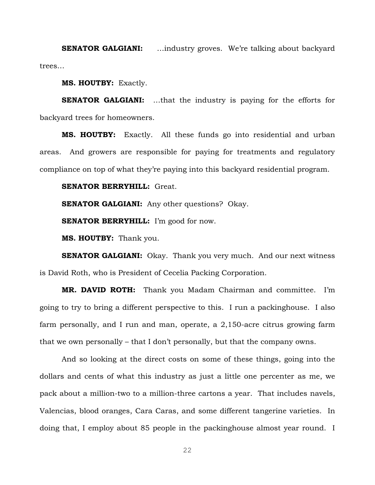**SENATOR GALGIANI:** ...industry groves. We're talking about backyard trees…

**MS. HOUTBY:** Exactly.

**SENATOR GALGIANI:** …that the industry is paying for the efforts for backyard trees for homeowners.

**MS. HOUTBY:** Exactly. All these funds go into residential and urban areas. And growers are responsible for paying for treatments and regulatory compliance on top of what they're paying into this backyard residential program.

**SENATOR BERRYHILL:** Great.

**SENATOR GALGIANI:** Any other questions? Okay.

**SENATOR BERRYHILL:** I'm good for now.

**MS. HOUTBY:** Thank you.

**SENATOR GALGIANI:** Okay. Thank you very much. And our next witness is David Roth, who is President of Cecelia Packing Corporation.

**MR. DAVID ROTH:** Thank you Madam Chairman and committee. I'm going to try to bring a different perspective to this. I run a packinghouse. I also farm personally, and I run and man, operate, a 2,150-acre citrus growing farm that we own personally – that I don't personally, but that the company owns.

And so looking at the direct costs on some of these things, going into the dollars and cents of what this industry as just a little one percenter as me, we pack about a million-two to a million-three cartons a year. That includes navels, Valencias, blood oranges, Cara Caras, and some different tangerine varieties. In doing that, I employ about 85 people in the packinghouse almost year round. I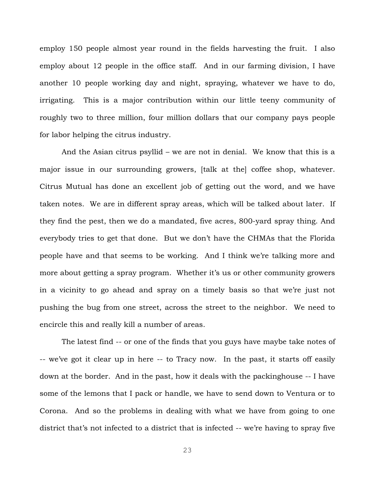employ 150 people almost year round in the fields harvesting the fruit. I also employ about 12 people in the office staff. And in our farming division, I have another 10 people working day and night, spraying, whatever we have to do, irrigating. This is a major contribution within our little teeny community of roughly two to three million, four million dollars that our company pays people for labor helping the citrus industry.

And the Asian citrus psyllid – we are not in denial. We know that this is a major issue in our surrounding growers, [talk at the] coffee shop, whatever. Citrus Mutual has done an excellent job of getting out the word, and we have taken notes. We are in different spray areas, which will be talked about later. If they find the pest, then we do a mandated, five acres, 800-yard spray thing. And everybody tries to get that done. But we don't have the CHMAs that the Florida people have and that seems to be working. And I think we're talking more and more about getting a spray program. Whether it's us or other community growers in a vicinity to go ahead and spray on a timely basis so that we're just not pushing the bug from one street, across the street to the neighbor. We need to encircle this and really kill a number of areas.

The latest find -- or one of the finds that you guys have maybe take notes of -- we've got it clear up in here -- to Tracy now. In the past, it starts off easily down at the border. And in the past, how it deals with the packinghouse -- I have some of the lemons that I pack or handle, we have to send down to Ventura or to Corona. And so the problems in dealing with what we have from going to one district that's not infected to a district that is infected -- we're having to spray five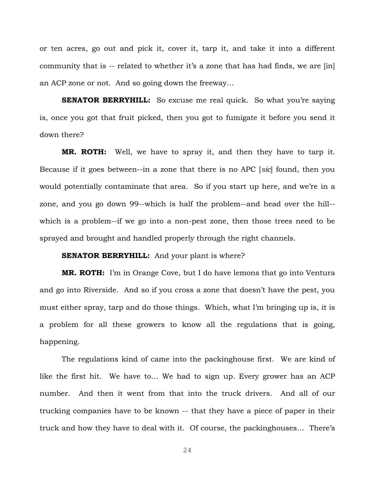or ten acres, go out and pick it, cover it, tarp it, and take it into a different community that is -- related to whether it's a zone that has had finds, we are [in] an ACP zone or not. And so going down the freeway…

**SENATOR BERRYHILL:** So excuse me real quick. So what you're saying is, once you got that fruit picked, then you got to fumigate it before you send it down there?

**MR. ROTH:** Well, we have to spray it, and then they have to tarp it. Because if it goes between--in a zone that there is no APC [*sic*] found, then you would potentially contaminate that area. So if you start up here, and we're in a zone, and you go down 99--which is half the problem--and head over the hill- which is a problem--if we go into a non-pest zone, then those trees need to be sprayed and brought and handled properly through the right channels.

### **SENATOR BERRYHILL:** And your plant is where?

**MR. ROTH:** I'm in Orange Cove, but I do have lemons that go into Ventura and go into Riverside. And so if you cross a zone that doesn't have the pest, you must either spray, tarp and do those things. Which, what I'm bringing up is, it is a problem for all these growers to know all the regulations that is going, happening.

The regulations kind of came into the packinghouse first. We are kind of like the first hit. We have to… We had to sign up. Every grower has an ACP number. And then it went from that into the truck drivers. And all of our trucking companies have to be known -- that they have a piece of paper in their truck and how they have to deal with it. Of course, the packinghouses… There's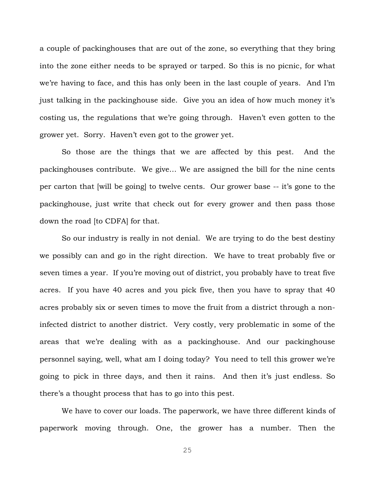a couple of packinghouses that are out of the zone, so everything that they bring into the zone either needs to be sprayed or tarped. So this is no picnic, for what we're having to face, and this has only been in the last couple of years. And I'm just talking in the packinghouse side. Give you an idea of how much money it's costing us, the regulations that we're going through. Haven't even gotten to the grower yet. Sorry. Haven't even got to the grower yet.

So those are the things that we are affected by this pest. And the packinghouses contribute. We give… We are assigned the bill for the nine cents per carton that [will be going] to twelve cents. Our grower base -- it's gone to the packinghouse, just write that check out for every grower and then pass those down the road [to CDFA] for that.

So our industry is really in not denial. We are trying to do the best destiny we possibly can and go in the right direction. We have to treat probably five or seven times a year. If you're moving out of district, you probably have to treat five acres. If you have 40 acres and you pick five, then you have to spray that 40 acres probably six or seven times to move the fruit from a district through a noninfected district to another district. Very costly, very problematic in some of the areas that we're dealing with as a packinghouse. And our packinghouse personnel saying, well, what am I doing today? You need to tell this grower we're going to pick in three days, and then it rains. And then it's just endless. So there's a thought process that has to go into this pest.

We have to cover our loads. The paperwork, we have three different kinds of paperwork moving through. One, the grower has a number. Then the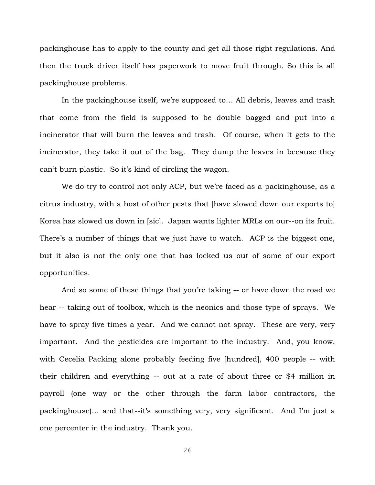packinghouse has to apply to the county and get all those right regulations. And then the truck driver itself has paperwork to move fruit through. So this is all packinghouse problems.

In the packinghouse itself, we're supposed to… All debris, leaves and trash that come from the field is supposed to be double bagged and put into a incinerator that will burn the leaves and trash. Of course, when it gets to the incinerator, they take it out of the bag. They dump the leaves in because they can't burn plastic. So it's kind of circling the wagon.

We do try to control not only ACP, but we're faced as a packinghouse, as a citrus industry, with a host of other pests that [have slowed down our exports to] Korea has slowed us down in [sic]. Japan wants lighter MRLs on our--on its fruit. There's a number of things that we just have to watch. ACP is the biggest one, but it also is not the only one that has locked us out of some of our export opportunities.

And so some of these things that you're taking -- or have down the road we hear -- taking out of toolbox, which is the neonics and those type of sprays. We have to spray five times a year. And we cannot not spray. These are very, very important. And the pesticides are important to the industry. And, you know, with Cecelia Packing alone probably feeding five [hundred], 400 people -- with their children and everything -- out at a rate of about three or \$4 million in payroll (one way or the other through the farm labor contractors, the packinghouse)… and that--it's something very, very significant. And I'm just a one percenter in the industry. Thank you.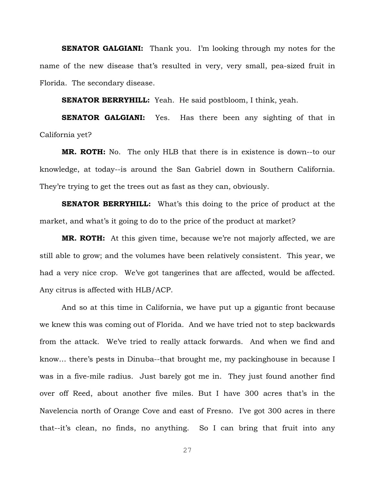**SENATOR GALGIANI:** Thank you. I'm looking through my notes for the name of the new disease that's resulted in very, very small, pea-sized fruit in Florida. The secondary disease.

**SENATOR BERRYHILL:** Yeah. He said postbloom, I think, yeah.

**SENATOR GALGIANI:** Yes. Has there been any sighting of that in California yet?

**MR. ROTH:** No. The only HLB that there is in existence is down--to our knowledge, at today--is around the San Gabriel down in Southern California. They're trying to get the trees out as fast as they can, obviously.

**SENATOR BERRYHILL:** What's this doing to the price of product at the market, and what's it going to do to the price of the product at market?

**MR. ROTH:** At this given time, because we're not majorly affected, we are still able to grow; and the volumes have been relatively consistent. This year, we had a very nice crop. We've got tangerines that are affected, would be affected. Any citrus is affected with HLB/ACP.

And so at this time in California, we have put up a gigantic front because we knew this was coming out of Florida. And we have tried not to step backwards from the attack. We've tried to really attack forwards. And when we find and know… there's pests in Dinuba--that brought me, my packinghouse in because I was in a five-mile radius. Just barely got me in. They just found another find over off Reed, about another five miles. But I have 300 acres that's in the Navelencia north of Orange Cove and east of Fresno. I've got 300 acres in there that--it's clean, no finds, no anything. So I can bring that fruit into any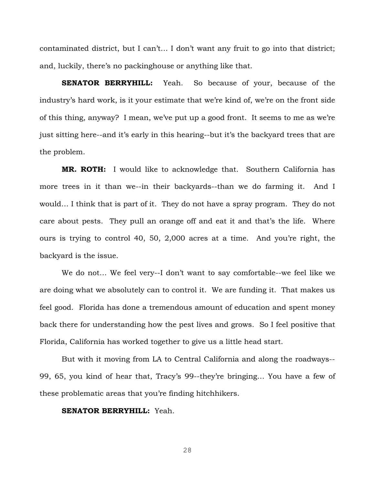contaminated district, but I can't… I don't want any fruit to go into that district; and, luckily, there's no packinghouse or anything like that.

**SENATOR BERRYHILL:** Yeah. So because of your, because of the industry's hard work, is it your estimate that we're kind of, we're on the front side of this thing, anyway? I mean, we've put up a good front. It seems to me as we're just sitting here--and it's early in this hearing--but it's the backyard trees that are the problem.

**MR. ROTH:** I would like to acknowledge that. Southern California has more trees in it than we--in their backyards--than we do farming it. And I would… I think that is part of it. They do not have a spray program. They do not care about pests. They pull an orange off and eat it and that's the life. Where ours is trying to control 40, 50, 2,000 acres at a time. And you're right, the backyard is the issue.

We do not… We feel very--I don't want to say comfortable--we feel like we are doing what we absolutely can to control it. We are funding it. That makes us feel good. Florida has done a tremendous amount of education and spent money back there for understanding how the pest lives and grows. So I feel positive that Florida, California has worked together to give us a little head start.

But with it moving from LA to Central California and along the roadways-- 99, 65, you kind of hear that, Tracy's 99--they're bringing… You have a few of these problematic areas that you're finding hitchhikers.

#### **SENATOR BERRYHILL:** Yeah.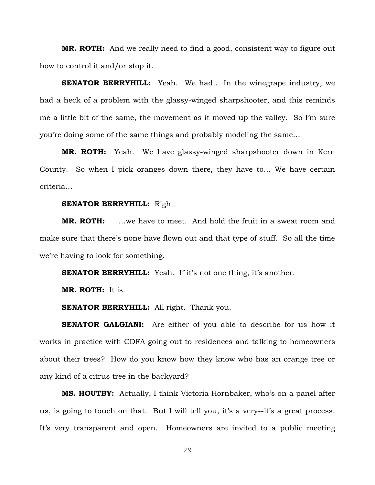**MR. ROTH:** And we really need to find a good, consistent way to figure out how to control it and/or stop it.

**SENATOR BERRYHILL:** Yeah. We had... In the winegrape industry, we had a heck of a problem with the glassy-winged sharpshooter, and this reminds me a little bit of the same, the movement as it moved up the valley. So I'm sure you're doing some of the same things and probably modeling the same…

**MR. ROTH:** Yeah. We have glassy-winged sharpshooter down in Kern County. So when I pick oranges down there, they have to… We have certain criteria…

#### **SENATOR BERRYHILL:** Right.

**MR. ROTH:** …we have to meet. And hold the fruit in a sweat room and make sure that there's none have flown out and that type of stuff. So all the time we're having to look for something.

**SENATOR BERRYHILL:** Yeah. If it's not one thing, it's another.

**MR. ROTH:** It is.

**SENATOR BERRYHILL:** All right. Thank you.

**SENATOR GALGIANI:** Are either of you able to describe for us how it works in practice with CDFA going out to residences and talking to homeowners about their trees? How do you know how they know who has an orange tree or any kind of a citrus tree in the backyard?

**MS. HOUTBY:** Actually, I think Victoria Hornbaker, who's on a panel after us, is going to touch on that. But I will tell you, it's a very--it's a great process. It's very transparent and open. Homeowners are invited to a public meeting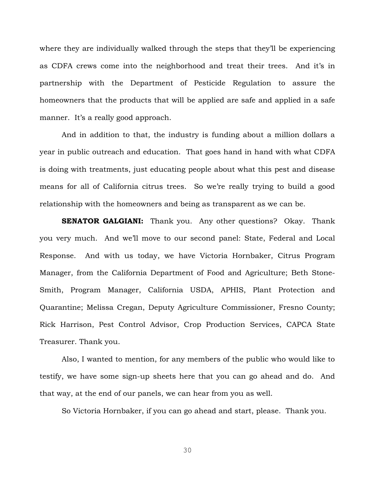where they are individually walked through the steps that they'll be experiencing as CDFA crews come into the neighborhood and treat their trees. And it's in partnership with the Department of Pesticide Regulation to assure the homeowners that the products that will be applied are safe and applied in a safe manner. It's a really good approach.

And in addition to that, the industry is funding about a million dollars a year in public outreach and education. That goes hand in hand with what CDFA is doing with treatments, just educating people about what this pest and disease means for all of California citrus trees. So we're really trying to build a good relationship with the homeowners and being as transparent as we can be.

**SENATOR GALGIANI:** Thank you. Any other questions? Okay. Thank you very much. And we'll move to our second panel: State, Federal and Local Response. And with us today, we have Victoria Hornbaker, Citrus Program Manager, from the California Department of Food and Agriculture; Beth Stone-Smith, Program Manager, California USDA, APHIS, Plant Protection and Quarantine; Melissa Cregan, Deputy Agriculture Commissioner, Fresno County; Rick Harrison, Pest Control Advisor, Crop Production Services, CAPCA State Treasurer. Thank you.

Also, I wanted to mention, for any members of the public who would like to testify, we have some sign-up sheets here that you can go ahead and do. And that way, at the end of our panels, we can hear from you as well.

So Victoria Hornbaker, if you can go ahead and start, please. Thank you.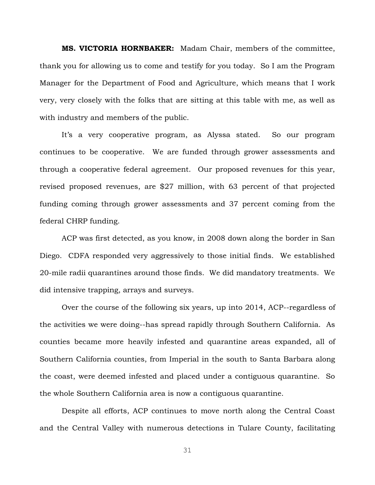**MS. VICTORIA HORNBAKER:** Madam Chair, members of the committee, thank you for allowing us to come and testify for you today. So I am the Program Manager for the Department of Food and Agriculture, which means that I work very, very closely with the folks that are sitting at this table with me, as well as with industry and members of the public.

It's a very cooperative program, as Alyssa stated. So our program continues to be cooperative. We are funded through grower assessments and through a cooperative federal agreement. Our proposed revenues for this year, revised proposed revenues, are \$27 million, with 63 percent of that projected funding coming through grower assessments and 37 percent coming from the federal CHRP funding.

ACP was first detected, as you know, in 2008 down along the border in San Diego. CDFA responded very aggressively to those initial finds. We established 20-mile radii quarantines around those finds. We did mandatory treatments. We did intensive trapping, arrays and surveys.

Over the course of the following six years, up into 2014, ACP--regardless of the activities we were doing--has spread rapidly through Southern California. As counties became more heavily infested and quarantine areas expanded, all of Southern California counties, from Imperial in the south to Santa Barbara along the coast, were deemed infested and placed under a contiguous quarantine. So the whole Southern California area is now a contiguous quarantine.

Despite all efforts, ACP continues to move north along the Central Coast and the Central Valley with numerous detections in Tulare County, facilitating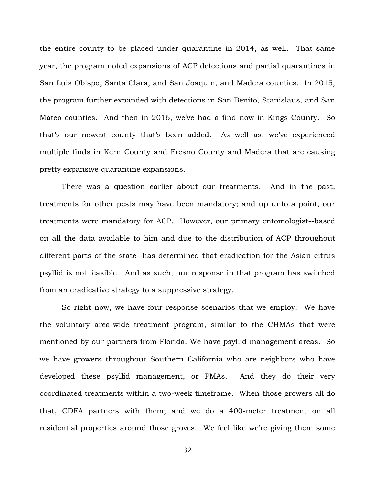the entire county to be placed under quarantine in 2014, as well. That same year, the program noted expansions of ACP detections and partial quarantines in San Luis Obispo, Santa Clara, and San Joaquin, and Madera counties. In 2015, the program further expanded with detections in San Benito, Stanislaus, and San Mateo counties. And then in 2016, we've had a find now in Kings County. So that's our newest county that's been added. As well as, we've experienced multiple finds in Kern County and Fresno County and Madera that are causing pretty expansive quarantine expansions.

There was a question earlier about our treatments. And in the past, treatments for other pests may have been mandatory; and up unto a point, our treatments were mandatory for ACP. However, our primary entomologist--based on all the data available to him and due to the distribution of ACP throughout different parts of the state--has determined that eradication for the Asian citrus psyllid is not feasible. And as such, our response in that program has switched from an eradicative strategy to a suppressive strategy.

So right now, we have four response scenarios that we employ. We have the voluntary area-wide treatment program, similar to the CHMAs that were mentioned by our partners from Florida. We have psyllid management areas. So we have growers throughout Southern California who are neighbors who have developed these psyllid management, or PMAs. And they do their very coordinated treatments within a two-week timeframe. When those growers all do that, CDFA partners with them; and we do a 400-meter treatment on all residential properties around those groves. We feel like we're giving them some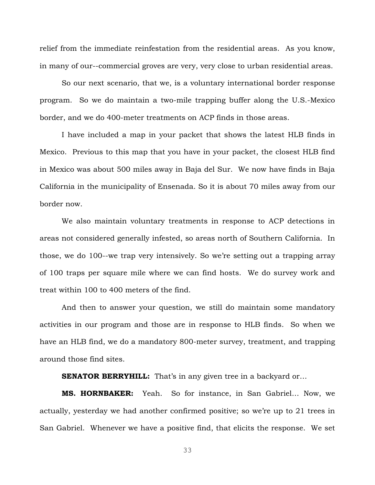relief from the immediate reinfestation from the residential areas. As you know, in many of our--commercial groves are very, very close to urban residential areas.

So our next scenario, that we, is a voluntary international border response program. So we do maintain a two-mile trapping buffer along the U.S.-Mexico border, and we do 400-meter treatments on ACP finds in those areas.

I have included a map in your packet that shows the latest HLB finds in Mexico. Previous to this map that you have in your packet, the closest HLB find in Mexico was about 500 miles away in Baja del Sur. We now have finds in Baja California in the municipality of Ensenada. So it is about 70 miles away from our border now.

We also maintain voluntary treatments in response to ACP detections in areas not considered generally infested, so areas north of Southern California. In those, we do 100--we trap very intensively. So we're setting out a trapping array of 100 traps per square mile where we can find hosts. We do survey work and treat within 100 to 400 meters of the find.

And then to answer your question, we still do maintain some mandatory activities in our program and those are in response to HLB finds. So when we have an HLB find, we do a mandatory 800-meter survey, treatment, and trapping around those find sites.

**SENATOR BERRYHILL:** That's in any given tree in a backyard or...

**MS. HORNBAKER:** Yeah. So for instance, in San Gabriel… Now, we actually, yesterday we had another confirmed positive; so we're up to 21 trees in San Gabriel. Whenever we have a positive find, that elicits the response. We set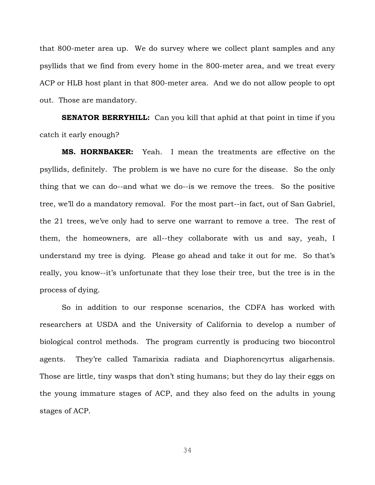that 800-meter area up. We do survey where we collect plant samples and any psyllids that we find from every home in the 800-meter area, and we treat every ACP or HLB host plant in that 800-meter area. And we do not allow people to opt out. Those are mandatory.

**SENATOR BERRYHILL:** Can you kill that aphid at that point in time if you catch it early enough?

**MS. HORNBAKER:** Yeah. I mean the treatments are effective on the psyllids, definitely. The problem is we have no cure for the disease. So the only thing that we can do--and what we do--is we remove the trees. So the positive tree, we'll do a mandatory removal. For the most part--in fact, out of San Gabriel, the 21 trees, we've only had to serve one warrant to remove a tree. The rest of them, the homeowners, are all--they collaborate with us and say, yeah, I understand my tree is dying. Please go ahead and take it out for me. So that's really, you know--it's unfortunate that they lose their tree, but the tree is in the process of dying.

So in addition to our response scenarios, the CDFA has worked with researchers at USDA and the University of California to develop a number of biological control methods. The program currently is producing two biocontrol agents. They're called Tamarixia radiata and Diaphorencyrtus aligarhensis. Those are little, tiny wasps that don't sting humans; but they do lay their eggs on the young immature stages of ACP, and they also feed on the adults in young stages of ACP.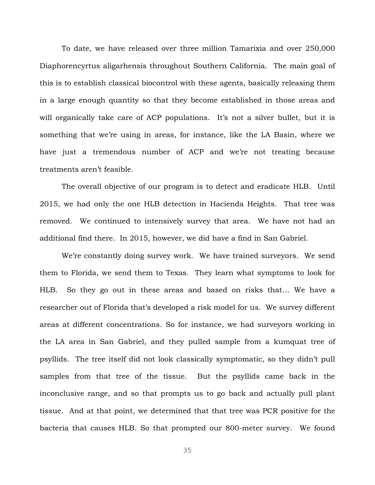To date, we have released over three million Tamarixia and over 250,000 Diaphorencyrtus aligarhensis throughout Southern California. The main goal of this is to establish classical biocontrol with these agents, basically releasing them in a large enough quantity so that they become established in those areas and will organically take care of ACP populations. It's not a silver bullet, but it is something that we're using in areas, for instance, like the LA Basin, where we have just a tremendous number of ACP and we're not treating because treatments aren't feasible.

The overall objective of our program is to detect and eradicate HLB. Until 2015, we had only the one HLB detection in Hacienda Heights. That tree was removed. We continued to intensively survey that area. We have not had an additional find there. In 2015, however, we did have a find in San Gabriel.

We're constantly doing survey work. We have trained surveyors. We send them to Florida, we send them to Texas. They learn what symptoms to look for HLB. So they go out in these areas and based on risks that… We have a researcher out of Florida that's developed a risk model for us. We survey different areas at different concentrations. So for instance, we had surveyors working in the LA area in San Gabriel, and they pulled sample from a kumquat tree of psyllids. The tree itself did not look classically symptomatic, so they didn't pull samples from that tree of the tissue. But the psyllids came back in the inconclusive range, and so that prompts us to go back and actually pull plant tissue. And at that point, we determined that that tree was PCR positive for the bacteria that causes HLB. So that prompted our 800-meter survey. We found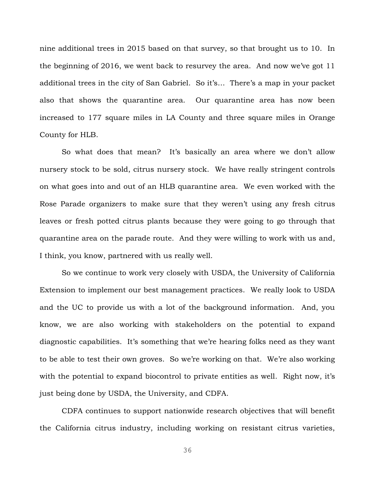nine additional trees in 2015 based on that survey, so that brought us to 10. In the beginning of 2016, we went back to resurvey the area. And now we've got 11 additional trees in the city of San Gabriel. So it's… There's a map in your packet also that shows the quarantine area. Our quarantine area has now been increased to 177 square miles in LA County and three square miles in Orange County for HLB.

So what does that mean? It's basically an area where we don't allow nursery stock to be sold, citrus nursery stock. We have really stringent controls on what goes into and out of an HLB quarantine area. We even worked with the Rose Parade organizers to make sure that they weren't using any fresh citrus leaves or fresh potted citrus plants because they were going to go through that quarantine area on the parade route. And they were willing to work with us and, I think, you know, partnered with us really well.

So we continue to work very closely with USDA, the University of California Extension to implement our best management practices. We really look to USDA and the UC to provide us with a lot of the background information. And, you know, we are also working with stakeholders on the potential to expand diagnostic capabilities. It's something that we're hearing folks need as they want to be able to test their own groves. So we're working on that. We're also working with the potential to expand biocontrol to private entities as well. Right now, it's just being done by USDA, the University, and CDFA.

CDFA continues to support nationwide research objectives that will benefit the California citrus industry, including working on resistant citrus varieties,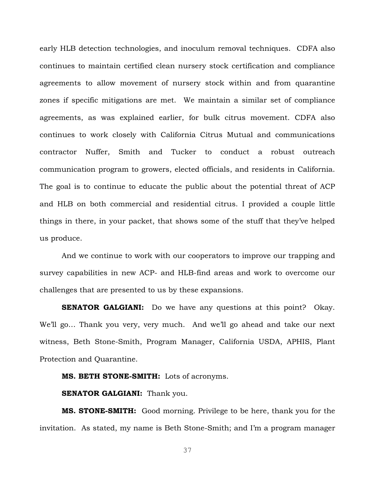early HLB detection technologies, and inoculum removal techniques. CDFA also continues to maintain certified clean nursery stock certification and compliance agreements to allow movement of nursery stock within and from quarantine zones if specific mitigations are met. We maintain a similar set of compliance agreements, as was explained earlier, for bulk citrus movement. CDFA also continues to work closely with California Citrus Mutual and communications contractor Nuffer, Smith and Tucker to conduct a robust outreach communication program to growers, elected officials, and residents in California. The goal is to continue to educate the public about the potential threat of ACP and HLB on both commercial and residential citrus. I provided a couple little things in there, in your packet, that shows some of the stuff that they've helped us produce.

And we continue to work with our cooperators to improve our trapping and survey capabilities in new ACP- and HLB-find areas and work to overcome our challenges that are presented to us by these expansions.

**SENATOR GALGIANI:** Do we have any questions at this point? Okay. We'll go… Thank you very, very much. And we'll go ahead and take our next witness, Beth Stone-Smith, Program Manager, California USDA, APHIS, Plant Protection and Quarantine.

**MS. BETH STONE-SMITH:** Lots of acronyms.

**SENATOR GALGIANI:** Thank you.

**MS. STONE-SMITH:** Good morning. Privilege to be here, thank you for the invitation. As stated, my name is Beth Stone-Smith; and I'm a program manager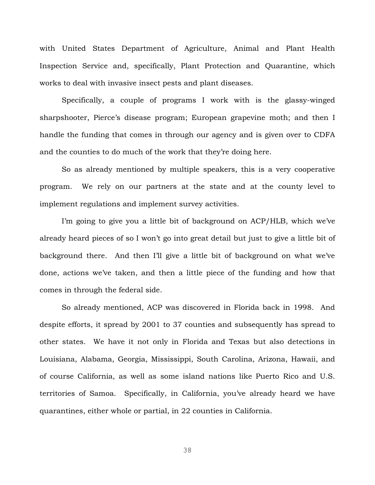with United States Department of Agriculture, Animal and Plant Health Inspection Service and, specifically, Plant Protection and Quarantine, which works to deal with invasive insect pests and plant diseases.

Specifically, a couple of programs I work with is the glassy-winged sharpshooter, Pierce's disease program; European grapevine moth; and then I handle the funding that comes in through our agency and is given over to CDFA and the counties to do much of the work that they're doing here.

So as already mentioned by multiple speakers, this is a very cooperative program. We rely on our partners at the state and at the county level to implement regulations and implement survey activities.

I'm going to give you a little bit of background on ACP/HLB, which we've already heard pieces of so I won't go into great detail but just to give a little bit of background there. And then I'll give a little bit of background on what we've done, actions we've taken, and then a little piece of the funding and how that comes in through the federal side.

So already mentioned, ACP was discovered in Florida back in 1998. And despite efforts, it spread by 2001 to 37 counties and subsequently has spread to other states. We have it not only in Florida and Texas but also detections in Louisiana, Alabama, Georgia, Mississippi, South Carolina, Arizona, Hawaii, and of course California, as well as some island nations like Puerto Rico and U.S. territories of Samoa. Specifically, in California, you've already heard we have quarantines, either whole or partial, in 22 counties in California.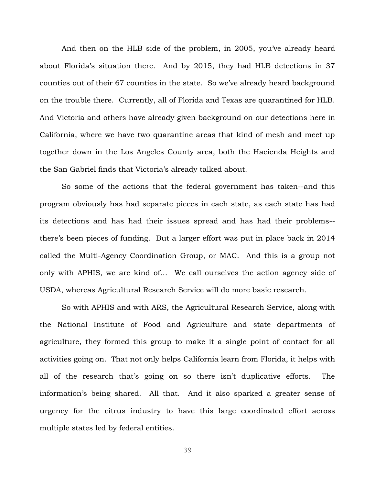And then on the HLB side of the problem, in 2005, you've already heard about Florida's situation there. And by 2015, they had HLB detections in 37 counties out of their 67 counties in the state. So we've already heard background on the trouble there. Currently, all of Florida and Texas are quarantined for HLB. And Victoria and others have already given background on our detections here in California, where we have two quarantine areas that kind of mesh and meet up together down in the Los Angeles County area, both the Hacienda Heights and the San Gabriel finds that Victoria's already talked about.

So some of the actions that the federal government has taken--and this program obviously has had separate pieces in each state, as each state has had its detections and has had their issues spread and has had their problems- there's been pieces of funding. But a larger effort was put in place back in 2014 called the Multi-Agency Coordination Group, or MAC. And this is a group not only with APHIS, we are kind of… We call ourselves the action agency side of USDA, whereas Agricultural Research Service will do more basic research.

So with APHIS and with ARS, the Agricultural Research Service, along with the National Institute of Food and Agriculture and state departments of agriculture, they formed this group to make it a single point of contact for all activities going on. That not only helps California learn from Florida, it helps with all of the research that's going on so there isn't duplicative efforts. The information's being shared. All that. And it also sparked a greater sense of urgency for the citrus industry to have this large coordinated effort across multiple states led by federal entities.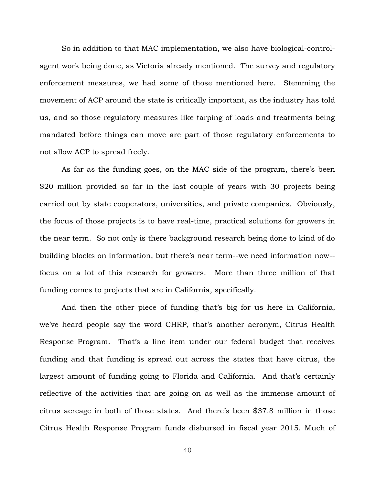So in addition to that MAC implementation, we also have biological-controlagent work being done, as Victoria already mentioned. The survey and regulatory enforcement measures, we had some of those mentioned here. Stemming the movement of ACP around the state is critically important, as the industry has told us, and so those regulatory measures like tarping of loads and treatments being mandated before things can move are part of those regulatory enforcements to not allow ACP to spread freely.

As far as the funding goes, on the MAC side of the program, there's been \$20 million provided so far in the last couple of years with 30 projects being carried out by state cooperators, universities, and private companies. Obviously, the focus of those projects is to have real-time, practical solutions for growers in the near term. So not only is there background research being done to kind of do building blocks on information, but there's near term--we need information now- focus on a lot of this research for growers. More than three million of that funding comes to projects that are in California, specifically.

And then the other piece of funding that's big for us here in California, we've heard people say the word CHRP, that's another acronym, Citrus Health Response Program. That's a line item under our federal budget that receives funding and that funding is spread out across the states that have citrus, the largest amount of funding going to Florida and California. And that's certainly reflective of the activities that are going on as well as the immense amount of citrus acreage in both of those states. And there's been \$37.8 million in those Citrus Health Response Program funds disbursed in fiscal year 2015. Much of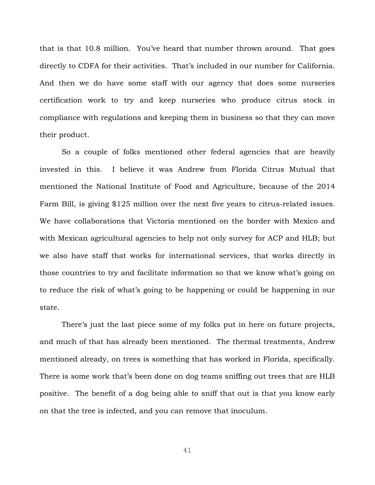that is that 10.8 million. You've heard that number thrown around. That goes directly to CDFA for their activities. That's included in our number for California. And then we do have some staff with our agency that does some nurseries certification work to try and keep nurseries who produce citrus stock in compliance with regulations and keeping them in business so that they can move their product.

So a couple of folks mentioned other federal agencies that are heavily invested in this. I believe it was Andrew from Florida Citrus Mutual that mentioned the National Institute of Food and Agriculture, because of the 2014 Farm Bill, is giving \$125 million over the next five years to citrus-related issues. We have collaborations that Victoria mentioned on the border with Mexico and with Mexican agricultural agencies to help not only survey for ACP and HLB; but we also have staff that works for international services, that works directly in those countries to try and facilitate information so that we know what's going on to reduce the risk of what's going to be happening or could be happening in our state.

There's just the last piece some of my folks put in here on future projects, and much of that has already been mentioned. The thermal treatments, Andrew mentioned already, on trees is something that has worked in Florida, specifically. There is some work that's been done on dog teams sniffing out trees that are HLB positive. The benefit of a dog being able to sniff that out is that you know early on that the tree is infected, and you can remove that inoculum.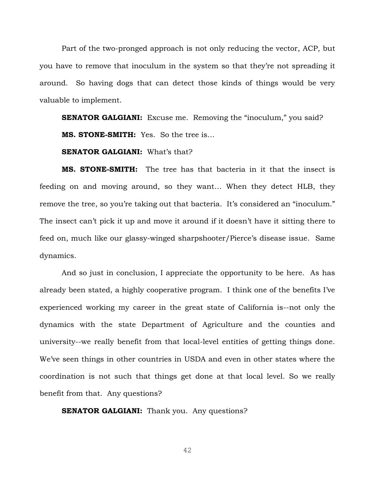Part of the two-pronged approach is not only reducing the vector, ACP, but you have to remove that inoculum in the system so that they're not spreading it around. So having dogs that can detect those kinds of things would be very valuable to implement.

**SENATOR GALGIANI:** Excuse me. Removing the "inoculum," you said? **MS. STONE-SMITH:** Yes. So the tree is…

#### **SENATOR GALGIANI:** What's that?

**MS. STONE-SMITH:** The tree has that bacteria in it that the insect is feeding on and moving around, so they want… When they detect HLB, they remove the tree, so you're taking out that bacteria. It's considered an "inoculum." The insect can't pick it up and move it around if it doesn't have it sitting there to feed on, much like our glassy-winged sharpshooter/Pierce's disease issue. Same dynamics.

And so just in conclusion, I appreciate the opportunity to be here. As has already been stated, a highly cooperative program. I think one of the benefits I've experienced working my career in the great state of California is--not only the dynamics with the state Department of Agriculture and the counties and university--we really benefit from that local-level entities of getting things done. We've seen things in other countries in USDA and even in other states where the coordination is not such that things get done at that local level. So we really benefit from that. Any questions?

**SENATOR GALGIANI:** Thank you. Any questions?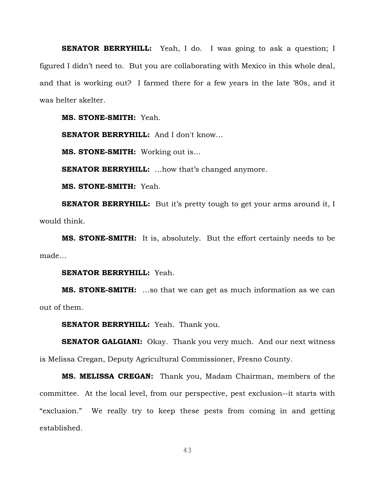**SENATOR BERRYHILL:** Yeah, I do. I was going to ask a question; I figured I didn't need to. But you are collaborating with Mexico in this whole deal, and that is working out? I farmed there for a few years in the late '80s, and it was helter skelter.

**MS. STONE-SMITH:** Yeah.

**SENATOR BERRYHILL:** And I don't know...

**MS. STONE-SMITH:** Working out is…

**SENATOR BERRYHILL:** ...how that's changed anymore.

**MS. STONE-SMITH:** Yeah.

**SENATOR BERRYHILL:** But it's pretty tough to get your arms around it, I would think.

**MS. STONE-SMITH:** It is, absolutely. But the effort certainly needs to be made…

# **SENATOR BERRYHILL:** Yeah.

**MS. STONE-SMITH:** …so that we can get as much information as we can out of them.

**SENATOR BERRYHILL:** Yeah. Thank you.

**SENATOR GALGIANI:** Okay. Thank you very much. And our next witness is Melissa Cregan, Deputy Agricultural Commissioner, Fresno County.

**MS. MELISSA CREGAN:** Thank you, Madam Chairman, members of the committee. At the local level, from our perspective, pest exclusion--it starts with "exclusion." We really try to keep these pests from coming in and getting established.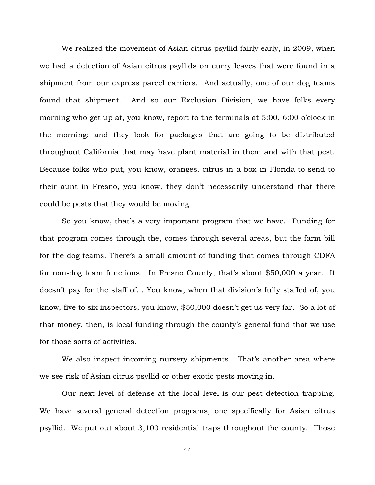We realized the movement of Asian citrus psyllid fairly early, in 2009, when we had a detection of Asian citrus psyllids on curry leaves that were found in a shipment from our express parcel carriers. And actually, one of our dog teams found that shipment. And so our Exclusion Division, we have folks every morning who get up at, you know, report to the terminals at 5:00, 6:00 o'clock in the morning; and they look for packages that are going to be distributed throughout California that may have plant material in them and with that pest. Because folks who put, you know, oranges, citrus in a box in Florida to send to their aunt in Fresno, you know, they don't necessarily understand that there could be pests that they would be moving.

So you know, that's a very important program that we have. Funding for that program comes through the, comes through several areas, but the farm bill for the dog teams. There's a small amount of funding that comes through CDFA for non-dog team functions. In Fresno County, that's about \$50,000 a year. It doesn't pay for the staff of… You know, when that division's fully staffed of, you know, five to six inspectors, you know, \$50,000 doesn't get us very far. So a lot of that money, then, is local funding through the county's general fund that we use for those sorts of activities.

We also inspect incoming nursery shipments. That's another area where we see risk of Asian citrus psyllid or other exotic pests moving in.

Our next level of defense at the local level is our pest detection trapping. We have several general detection programs, one specifically for Asian citrus psyllid. We put out about 3,100 residential traps throughout the county. Those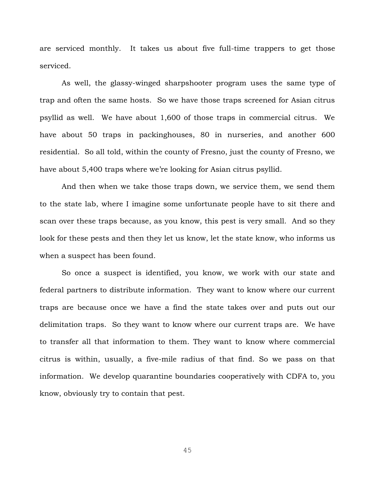are serviced monthly. It takes us about five full-time trappers to get those serviced.

As well, the glassy-winged sharpshooter program uses the same type of trap and often the same hosts. So we have those traps screened for Asian citrus psyllid as well. We have about 1,600 of those traps in commercial citrus. We have about 50 traps in packinghouses, 80 in nurseries, and another 600 residential. So all told, within the county of Fresno, just the county of Fresno, we have about 5,400 traps where we're looking for Asian citrus psyllid.

And then when we take those traps down, we service them, we send them to the state lab, where I imagine some unfortunate people have to sit there and scan over these traps because, as you know, this pest is very small. And so they look for these pests and then they let us know, let the state know, who informs us when a suspect has been found.

So once a suspect is identified, you know, we work with our state and federal partners to distribute information. They want to know where our current traps are because once we have a find the state takes over and puts out our delimitation traps. So they want to know where our current traps are. We have to transfer all that information to them. They want to know where commercial citrus is within, usually, a five-mile radius of that find. So we pass on that information. We develop quarantine boundaries cooperatively with CDFA to, you know, obviously try to contain that pest.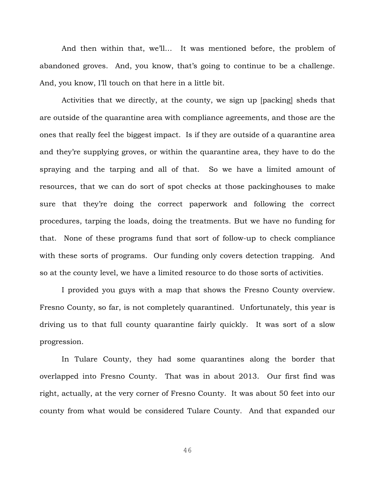And then within that, we'll… It was mentioned before, the problem of abandoned groves. And, you know, that's going to continue to be a challenge. And, you know, I'll touch on that here in a little bit.

Activities that we directly, at the county, we sign up [packing] sheds that are outside of the quarantine area with compliance agreements, and those are the ones that really feel the biggest impact. Is if they are outside of a quarantine area and they're supplying groves, or within the quarantine area, they have to do the spraying and the tarping and all of that. So we have a limited amount of resources, that we can do sort of spot checks at those packinghouses to make sure that they're doing the correct paperwork and following the correct procedures, tarping the loads, doing the treatments. But we have no funding for that. None of these programs fund that sort of follow-up to check compliance with these sorts of programs. Our funding only covers detection trapping. And so at the county level, we have a limited resource to do those sorts of activities.

I provided you guys with a map that shows the Fresno County overview. Fresno County, so far, is not completely quarantined. Unfortunately, this year is driving us to that full county quarantine fairly quickly. It was sort of a slow progression.

In Tulare County, they had some quarantines along the border that overlapped into Fresno County. That was in about 2013. Our first find was right, actually, at the very corner of Fresno County. It was about 50 feet into our county from what would be considered Tulare County. And that expanded our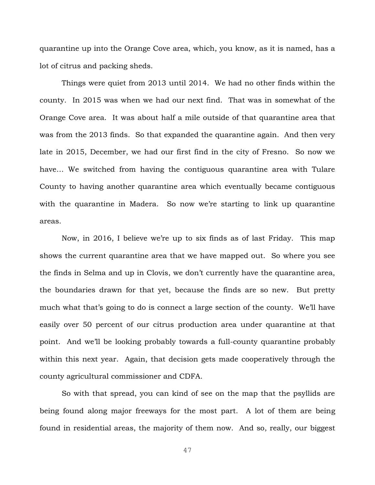quarantine up into the Orange Cove area, which, you know, as it is named, has a lot of citrus and packing sheds.

Things were quiet from 2013 until 2014. We had no other finds within the county. In 2015 was when we had our next find. That was in somewhat of the Orange Cove area. It was about half a mile outside of that quarantine area that was from the 2013 finds. So that expanded the quarantine again. And then very late in 2015, December, we had our first find in the city of Fresno. So now we have… We switched from having the contiguous quarantine area with Tulare County to having another quarantine area which eventually became contiguous with the quarantine in Madera. So now we're starting to link up quarantine areas.

Now, in 2016, I believe we're up to six finds as of last Friday. This map shows the current quarantine area that we have mapped out. So where you see the finds in Selma and up in Clovis, we don't currently have the quarantine area, the boundaries drawn for that yet, because the finds are so new. But pretty much what that's going to do is connect a large section of the county. We'll have easily over 50 percent of our citrus production area under quarantine at that point. And we'll be looking probably towards a full-county quarantine probably within this next year. Again, that decision gets made cooperatively through the county agricultural commissioner and CDFA.

So with that spread, you can kind of see on the map that the psyllids are being found along major freeways for the most part. A lot of them are being found in residential areas, the majority of them now. And so, really, our biggest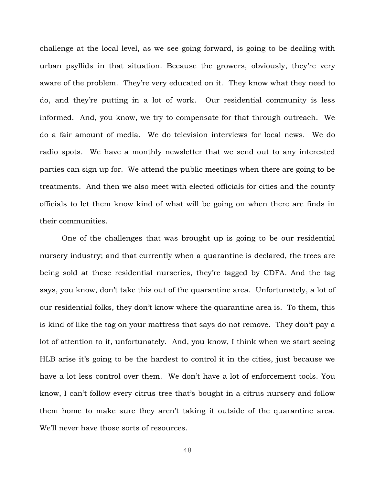challenge at the local level, as we see going forward, is going to be dealing with urban psyllids in that situation. Because the growers, obviously, they're very aware of the problem. They're very educated on it. They know what they need to do, and they're putting in a lot of work. Our residential community is less informed. And, you know, we try to compensate for that through outreach. We do a fair amount of media. We do television interviews for local news. We do radio spots. We have a monthly newsletter that we send out to any interested parties can sign up for. We attend the public meetings when there are going to be treatments. And then we also meet with elected officials for cities and the county officials to let them know kind of what will be going on when there are finds in their communities.

One of the challenges that was brought up is going to be our residential nursery industry; and that currently when a quarantine is declared, the trees are being sold at these residential nurseries, they're tagged by CDFA. And the tag says, you know, don't take this out of the quarantine area. Unfortunately, a lot of our residential folks, they don't know where the quarantine area is. To them, this is kind of like the tag on your mattress that says do not remove. They don't pay a lot of attention to it, unfortunately. And, you know, I think when we start seeing HLB arise it's going to be the hardest to control it in the cities, just because we have a lot less control over them. We don't have a lot of enforcement tools. You know, I can't follow every citrus tree that's bought in a citrus nursery and follow them home to make sure they aren't taking it outside of the quarantine area. We'll never have those sorts of resources.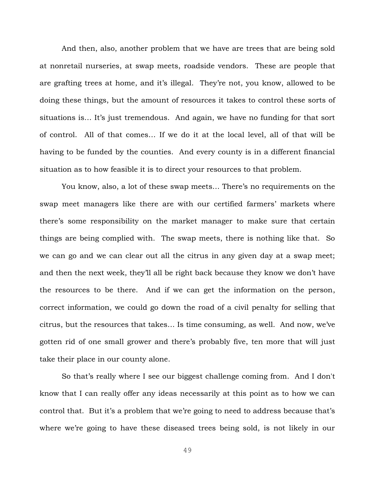And then, also, another problem that we have are trees that are being sold at nonretail nurseries, at swap meets, roadside vendors. These are people that are grafting trees at home, and it's illegal. They're not, you know, allowed to be doing these things, but the amount of resources it takes to control these sorts of situations is… It's just tremendous. And again, we have no funding for that sort of control. All of that comes… If we do it at the local level, all of that will be having to be funded by the counties. And every county is in a different financial situation as to how feasible it is to direct your resources to that problem.

You know, also, a lot of these swap meets… There's no requirements on the swap meet managers like there are with our certified farmers' markets where there's some responsibility on the market manager to make sure that certain things are being complied with. The swap meets, there is nothing like that. So we can go and we can clear out all the citrus in any given day at a swap meet; and then the next week, they'll all be right back because they know we don't have the resources to be there. And if we can get the information on the person, correct information, we could go down the road of a civil penalty for selling that citrus, but the resources that takes… Is time consuming, as well. And now, we've gotten rid of one small grower and there's probably five, ten more that will just take their place in our county alone.

So that's really where I see our biggest challenge coming from. And I don't know that I can really offer any ideas necessarily at this point as to how we can control that. But it's a problem that we're going to need to address because that's where we're going to have these diseased trees being sold, is not likely in our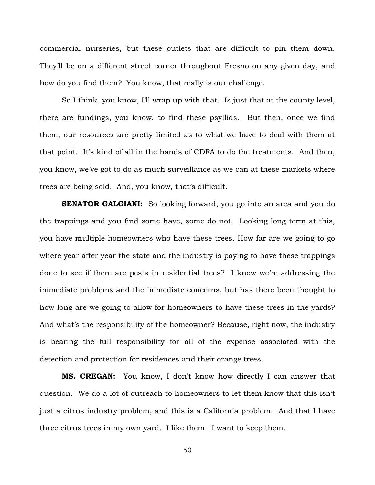commercial nurseries, but these outlets that are difficult to pin them down. They'll be on a different street corner throughout Fresno on any given day, and how do you find them? You know, that really is our challenge.

So I think, you know, I'll wrap up with that. Is just that at the county level, there are fundings, you know, to find these psyllids. But then, once we find them, our resources are pretty limited as to what we have to deal with them at that point. It's kind of all in the hands of CDFA to do the treatments. And then, you know, we've got to do as much surveillance as we can at these markets where trees are being sold. And, you know, that's difficult.

**SENATOR GALGIANI:** So looking forward, you go into an area and you do the trappings and you find some have, some do not. Looking long term at this, you have multiple homeowners who have these trees. How far are we going to go where year after year the state and the industry is paying to have these trappings done to see if there are pests in residential trees? I know we're addressing the immediate problems and the immediate concerns, but has there been thought to how long are we going to allow for homeowners to have these trees in the yards? And what's the responsibility of the homeowner? Because, right now, the industry is bearing the full responsibility for all of the expense associated with the detection and protection for residences and their orange trees.

**MS. CREGAN:** You know, I don't know how directly I can answer that question. We do a lot of outreach to homeowners to let them know that this isn't just a citrus industry problem, and this is a California problem. And that I have three citrus trees in my own yard. I like them. I want to keep them.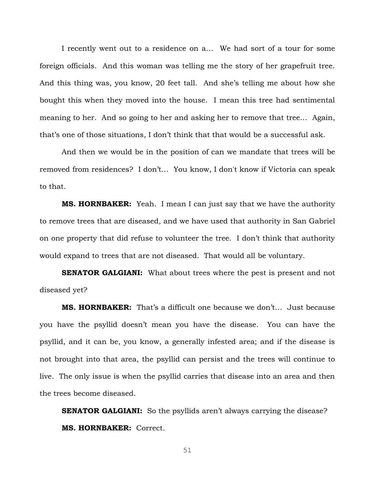I recently went out to a residence on a… We had sort of a tour for some foreign officials. And this woman was telling me the story of her grapefruit tree. And this thing was, you know, 20 feet tall. And she's telling me about how she bought this when they moved into the house. I mean this tree had sentimental meaning to her. And so going to her and asking her to remove that tree… Again, that's one of those situations, I don't think that that would be a successful ask.

And then we would be in the position of can we mandate that trees will be removed from residences? I don't… You know, I don't know if Victoria can speak to that.

**MS. HORNBAKER:** Yeah. I mean I can just say that we have the authority to remove trees that are diseased, and we have used that authority in San Gabriel on one property that did refuse to volunteer the tree. I don't think that authority would expand to trees that are not diseased. That would all be voluntary.

**SENATOR GALGIANI:** What about trees where the pest is present and not diseased yet?

**MS. HORNBAKER:** That's a difficult one because we don't… Just because you have the psyllid doesn't mean you have the disease. You can have the psyllid, and it can be, you know, a generally infested area; and if the disease is not brought into that area, the psyllid can persist and the trees will continue to live. The only issue is when the psyllid carries that disease into an area and then the trees become diseased.

**SENATOR GALGIANI:** So the psyllids aren't always carrying the disease? **MS. HORNBAKER:** Correct.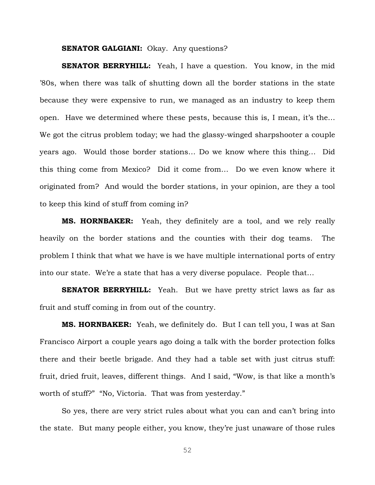### **SENATOR GALGIANI:** Okay. Any questions?

**SENATOR BERRYHILL:** Yeah, I have a question. You know, in the mid '80s, when there was talk of shutting down all the border stations in the state because they were expensive to run, we managed as an industry to keep them open. Have we determined where these pests, because this is, I mean, it's the… We got the citrus problem today; we had the glassy-winged sharpshooter a couple years ago. Would those border stations… Do we know where this thing… Did this thing come from Mexico? Did it come from… Do we even know where it originated from? And would the border stations, in your opinion, are they a tool to keep this kind of stuff from coming in?

**MS. HORNBAKER:** Yeah, they definitely are a tool, and we rely really heavily on the border stations and the counties with their dog teams. The problem I think that what we have is we have multiple international ports of entry into our state. We're a state that has a very diverse populace. People that…

**SENATOR BERRYHILL:** Yeah. But we have pretty strict laws as far as fruit and stuff coming in from out of the country.

**MS. HORNBAKER:** Yeah, we definitely do. But I can tell you, I was at San Francisco Airport a couple years ago doing a talk with the border protection folks there and their beetle brigade. And they had a table set with just citrus stuff: fruit, dried fruit, leaves, different things. And I said, "Wow, is that like a month's worth of stuff?" "No, Victoria. That was from yesterday."

So yes, there are very strict rules about what you can and can't bring into the state. But many people either, you know, they're just unaware of those rules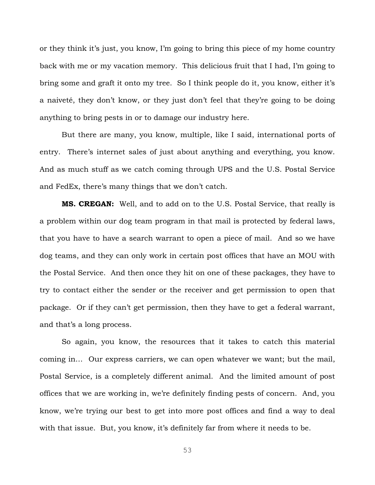or they think it's just, you know, I'm going to bring this piece of my home country back with me or my vacation memory. This delicious fruit that I had, I'm going to bring some and graft it onto my tree. So I think people do it, you know, either it's a naiveté, they don't know, or they just don't feel that they're going to be doing anything to bring pests in or to damage our industry here.

But there are many, you know, multiple, like I said, international ports of entry. There's internet sales of just about anything and everything, you know. And as much stuff as we catch coming through UPS and the U.S. Postal Service and FedEx, there's many things that we don't catch.

**MS. CREGAN:** Well, and to add on to the U.S. Postal Service, that really is a problem within our dog team program in that mail is protected by federal laws, that you have to have a search warrant to open a piece of mail. And so we have dog teams, and they can only work in certain post offices that have an MOU with the Postal Service. And then once they hit on one of these packages, they have to try to contact either the sender or the receiver and get permission to open that package. Or if they can't get permission, then they have to get a federal warrant, and that's a long process.

So again, you know, the resources that it takes to catch this material coming in… Our express carriers, we can open whatever we want; but the mail, Postal Service, is a completely different animal. And the limited amount of post offices that we are working in, we're definitely finding pests of concern. And, you know, we're trying our best to get into more post offices and find a way to deal with that issue. But, you know, it's definitely far from where it needs to be.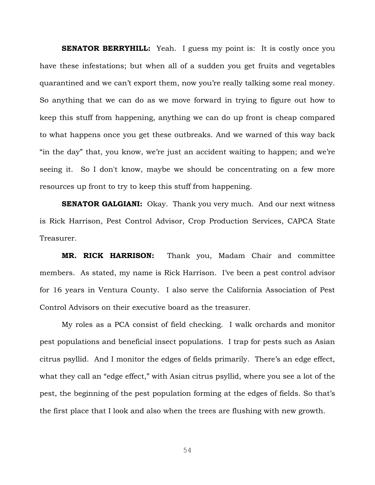**SENATOR BERRYHILL:** Yeah. I guess my point is: It is costly once you have these infestations; but when all of a sudden you get fruits and vegetables quarantined and we can't export them, now you're really talking some real money. So anything that we can do as we move forward in trying to figure out how to keep this stuff from happening, anything we can do up front is cheap compared to what happens once you get these outbreaks. And we warned of this way back "in the day" that, you know, we're just an accident waiting to happen; and we're seeing it. So I don't know, maybe we should be concentrating on a few more resources up front to try to keep this stuff from happening.

**SENATOR GALGIANI:** Okay. Thank you very much. And our next witness is Rick Harrison, Pest Control Advisor, Crop Production Services, CAPCA State Treasurer.

**MR. RICK HARRISON:** Thank you, Madam Chair and committee members. As stated, my name is Rick Harrison. I've been a pest control advisor for 16 years in Ventura County. I also serve the California Association of Pest Control Advisors on their executive board as the treasurer.

My roles as a PCA consist of field checking. I walk orchards and monitor pest populations and beneficial insect populations. I trap for pests such as Asian citrus psyllid. And I monitor the edges of fields primarily. There's an edge effect, what they call an "edge effect," with Asian citrus psyllid, where you see a lot of the pest, the beginning of the pest population forming at the edges of fields. So that's the first place that I look and also when the trees are flushing with new growth.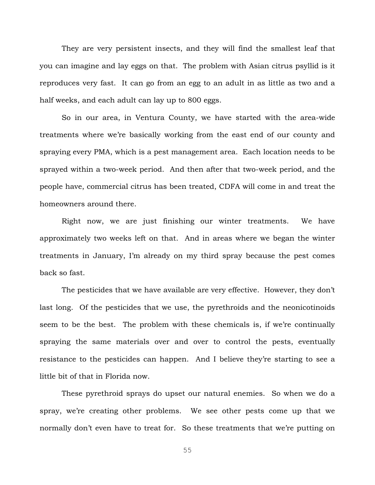They are very persistent insects, and they will find the smallest leaf that you can imagine and lay eggs on that. The problem with Asian citrus psyllid is it reproduces very fast. It can go from an egg to an adult in as little as two and a half weeks, and each adult can lay up to 800 eggs.

So in our area, in Ventura County, we have started with the area-wide treatments where we're basically working from the east end of our county and spraying every PMA, which is a pest management area. Each location needs to be sprayed within a two-week period. And then after that two-week period, and the people have, commercial citrus has been treated, CDFA will come in and treat the homeowners around there.

Right now, we are just finishing our winter treatments. We have approximately two weeks left on that. And in areas where we began the winter treatments in January, I'm already on my third spray because the pest comes back so fast.

The pesticides that we have available are very effective. However, they don't last long. Of the pesticides that we use, the pyrethroids and the neonicotinoids seem to be the best. The problem with these chemicals is, if we're continually spraying the same materials over and over to control the pests, eventually resistance to the pesticides can happen. And I believe they're starting to see a little bit of that in Florida now.

These pyrethroid sprays do upset our natural enemies. So when we do a spray, we're creating other problems. We see other pests come up that we normally don't even have to treat for. So these treatments that we're putting on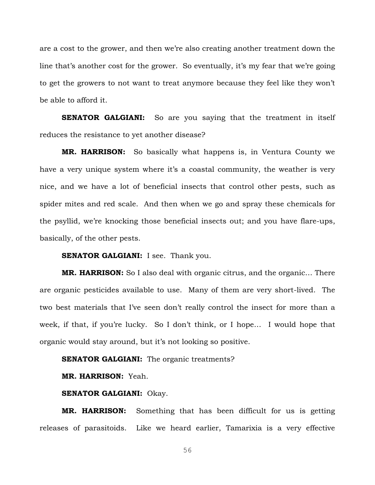are a cost to the grower, and then we're also creating another treatment down the line that's another cost for the grower. So eventually, it's my fear that we're going to get the growers to not want to treat anymore because they feel like they won't be able to afford it.

**SENATOR GALGIANI:** So are you saying that the treatment in itself reduces the resistance to yet another disease?

**MR. HARRISON:** So basically what happens is, in Ventura County we have a very unique system where it's a coastal community, the weather is very nice, and we have a lot of beneficial insects that control other pests, such as spider mites and red scale. And then when we go and spray these chemicals for the psyllid, we're knocking those beneficial insects out; and you have flare-ups, basically, of the other pests.

**SENATOR GALGIANI:** I see. Thank you.

**MR. HARRISON:** So I also deal with organic citrus, and the organic… There are organic pesticides available to use. Many of them are very short-lived. The two best materials that I've seen don't really control the insect for more than a week, if that, if you're lucky. So I don't think, or I hope... I would hope that organic would stay around, but it's not looking so positive.

### **SENATOR GALGIANI:** The organic treatments?

**MR. HARRISON:** Yeah.

# **SENATOR GALGIANI:** Okay.

**MR. HARRISON:** Something that has been difficult for us is getting releases of parasitoids. Like we heard earlier, Tamarixia is a very effective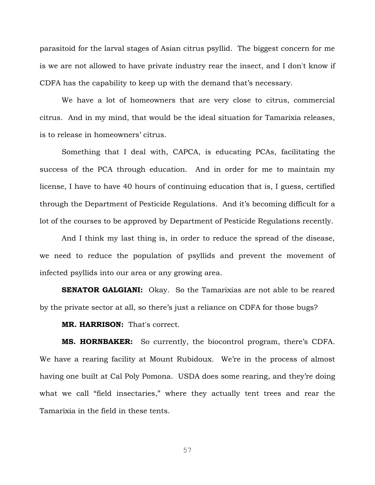parasitoid for the larval stages of Asian citrus psyllid. The biggest concern for me is we are not allowed to have private industry rear the insect, and I don't know if CDFA has the capability to keep up with the demand that's necessary.

We have a lot of homeowners that are very close to citrus, commercial citrus. And in my mind, that would be the ideal situation for Tamarixia releases, is to release in homeowners' citrus.

Something that I deal with, CAPCA, is educating PCAs, facilitating the success of the PCA through education. And in order for me to maintain my license, I have to have 40 hours of continuing education that is, I guess, certified through the Department of Pesticide Regulations. And it's becoming difficult for a lot of the courses to be approved by Department of Pesticide Regulations recently.

And I think my last thing is, in order to reduce the spread of the disease, we need to reduce the population of psyllids and prevent the movement of infected psyllids into our area or any growing area.

**SENATOR GALGIANI:** Okay. So the Tamarixias are not able to be reared by the private sector at all, so there's just a reliance on CDFA for those bugs?

# **MR. HARRISON:** That's correct.

**MS. HORNBAKER:** So currently, the biocontrol program, there's CDFA. We have a rearing facility at Mount Rubidoux. We're in the process of almost having one built at Cal Poly Pomona. USDA does some rearing, and they're doing what we call "field insectaries," where they actually tent trees and rear the Tamarixia in the field in these tents.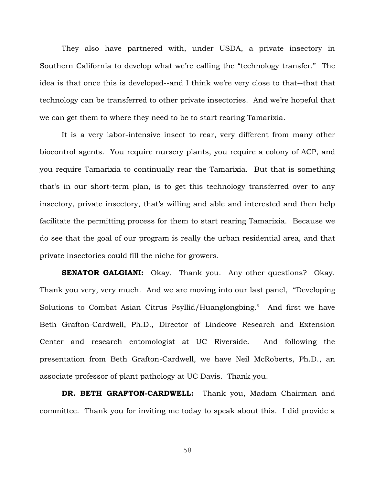They also have partnered with, under USDA, a private insectory in Southern California to develop what we're calling the "technology transfer." The idea is that once this is developed--and I think we're very close to that--that that technology can be transferred to other private insectories. And we're hopeful that we can get them to where they need to be to start rearing Tamarixia.

It is a very labor-intensive insect to rear, very different from many other biocontrol agents. You require nursery plants, you require a colony of ACP, and you require Tamarixia to continually rear the Tamarixia. But that is something that's in our short-term plan, is to get this technology transferred over to any insectory, private insectory, that's willing and able and interested and then help facilitate the permitting process for them to start rearing Tamarixia. Because we do see that the goal of our program is really the urban residential area, and that private insectories could fill the niche for growers.

**SENATOR GALGIANI:** Okay. Thank you. Any other questions? Okay. Thank you very, very much. And we are moving into our last panel, "Developing Solutions to Combat Asian Citrus Psyllid/Huanglongbing." And first we have Beth Grafton-Cardwell, Ph.D., Director of Lindcove Research and Extension Center and research entomologist at UC Riverside. And following the presentation from Beth Grafton-Cardwell, we have Neil McRoberts, Ph.D., an associate professor of plant pathology at UC Davis. Thank you.

DR. BETH GRAFTON-CARDWELL: Thank you, Madam Chairman and committee. Thank you for inviting me today to speak about this. I did provide a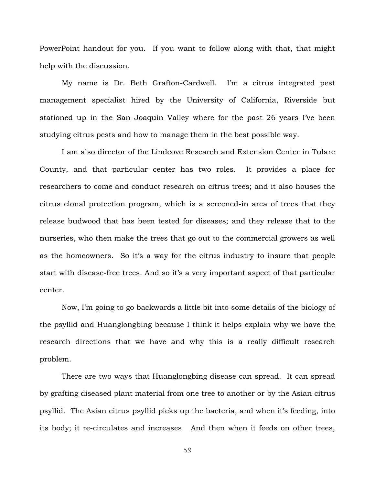PowerPoint handout for you. If you want to follow along with that, that might help with the discussion.

My name is Dr. Beth Grafton-Cardwell. I'm a citrus integrated pest management specialist hired by the University of California, Riverside but stationed up in the San Joaquin Valley where for the past 26 years I've been studying citrus pests and how to manage them in the best possible way.

I am also director of the Lindcove Research and Extension Center in Tulare County, and that particular center has two roles. It provides a place for researchers to come and conduct research on citrus trees; and it also houses the citrus clonal protection program, which is a screened-in area of trees that they release budwood that has been tested for diseases; and they release that to the nurseries, who then make the trees that go out to the commercial growers as well as the homeowners. So it's a way for the citrus industry to insure that people start with disease-free trees. And so it's a very important aspect of that particular center.

Now, I'm going to go backwards a little bit into some details of the biology of the psyllid and Huanglongbing because I think it helps explain why we have the research directions that we have and why this is a really difficult research problem.

There are two ways that Huanglongbing disease can spread. It can spread by grafting diseased plant material from one tree to another or by the Asian citrus psyllid. The Asian citrus psyllid picks up the bacteria, and when it's feeding, into its body; it re-circulates and increases. And then when it feeds on other trees,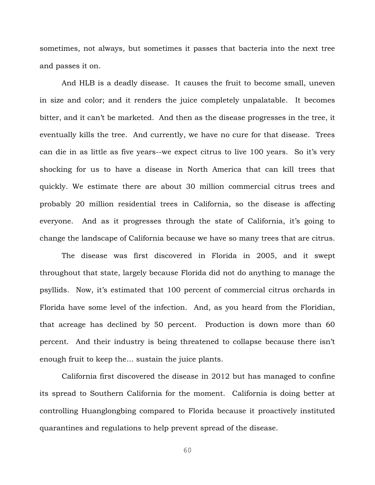sometimes, not always, but sometimes it passes that bacteria into the next tree and passes it on.

And HLB is a deadly disease. It causes the fruit to become small, uneven in size and color; and it renders the juice completely unpalatable. It becomes bitter, and it can't be marketed. And then as the disease progresses in the tree, it eventually kills the tree. And currently, we have no cure for that disease. Trees can die in as little as five years--we expect citrus to live 100 years. So it's very shocking for us to have a disease in North America that can kill trees that quickly. We estimate there are about 30 million commercial citrus trees and probably 20 million residential trees in California, so the disease is affecting everyone. And as it progresses through the state of California, it's going to change the landscape of California because we have so many trees that are citrus.

The disease was first discovered in Florida in 2005, and it swept throughout that state, largely because Florida did not do anything to manage the psyllids. Now, it's estimated that 100 percent of commercial citrus orchards in Florida have some level of the infection. And, as you heard from the Floridian, that acreage has declined by 50 percent. Production is down more than 60 percent. And their industry is being threatened to collapse because there isn't enough fruit to keep the… sustain the juice plants.

California first discovered the disease in 2012 but has managed to confine its spread to Southern California for the moment. California is doing better at controlling Huanglongbing compared to Florida because it proactively instituted quarantines and regulations to help prevent spread of the disease.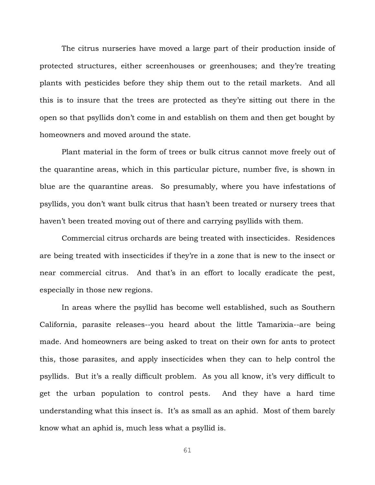The citrus nurseries have moved a large part of their production inside of protected structures, either screenhouses or greenhouses; and they're treating plants with pesticides before they ship them out to the retail markets. And all this is to insure that the trees are protected as they're sitting out there in the open so that psyllids don't come in and establish on them and then get bought by homeowners and moved around the state.

Plant material in the form of trees or bulk citrus cannot move freely out of the quarantine areas, which in this particular picture, number five, is shown in blue are the quarantine areas. So presumably, where you have infestations of psyllids, you don't want bulk citrus that hasn't been treated or nursery trees that haven't been treated moving out of there and carrying psyllids with them.

Commercial citrus orchards are being treated with insecticides. Residences are being treated with insecticides if they're in a zone that is new to the insect or near commercial citrus. And that's in an effort to locally eradicate the pest, especially in those new regions.

In areas where the psyllid has become well established, such as Southern California, parasite releases--you heard about the little Tamarixia--are being made. And homeowners are being asked to treat on their own for ants to protect this, those parasites, and apply insecticides when they can to help control the psyllids. But it's a really difficult problem. As you all know, it's very difficult to get the urban population to control pests. And they have a hard time understanding what this insect is. It's as small as an aphid. Most of them barely know what an aphid is, much less what a psyllid is.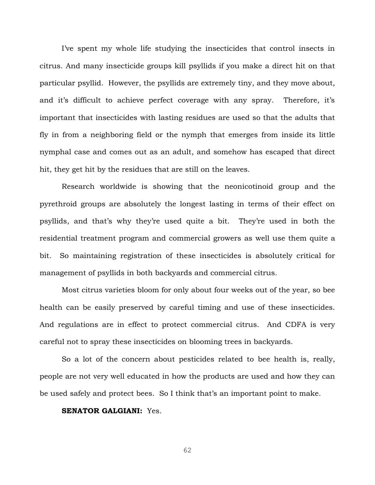I've spent my whole life studying the insecticides that control insects in citrus. And many insecticide groups kill psyllids if you make a direct hit on that particular psyllid. However, the psyllids are extremely tiny, and they move about, and it's difficult to achieve perfect coverage with any spray. Therefore, it's important that insecticides with lasting residues are used so that the adults that fly in from a neighboring field or the nymph that emerges from inside its little nymphal case and comes out as an adult, and somehow has escaped that direct hit, they get hit by the residues that are still on the leaves.

Research worldwide is showing that the neonicotinoid group and the pyrethroid groups are absolutely the longest lasting in terms of their effect on psyllids, and that's why they're used quite a bit. They're used in both the residential treatment program and commercial growers as well use them quite a bit. So maintaining registration of these insecticides is absolutely critical for management of psyllids in both backyards and commercial citrus.

Most citrus varieties bloom for only about four weeks out of the year, so bee health can be easily preserved by careful timing and use of these insecticides. And regulations are in effect to protect commercial citrus. And CDFA is very careful not to spray these insecticides on blooming trees in backyards.

So a lot of the concern about pesticides related to bee health is, really, people are not very well educated in how the products are used and how they can be used safely and protect bees. So I think that's an important point to make.

# **SENATOR GALGIANI:** Yes.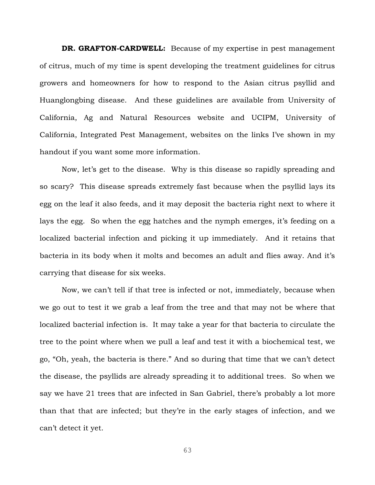**DR. GRAFTON-CARDWELL:** Because of my expertise in pest management of citrus, much of my time is spent developing the treatment guidelines for citrus growers and homeowners for how to respond to the Asian citrus psyllid and Huanglongbing disease. And these guidelines are available from University of California, Ag and Natural Resources website and UCIPM, University of California, Integrated Pest Management, websites on the links I've shown in my handout if you want some more information.

Now, let's get to the disease. Why is this disease so rapidly spreading and so scary? This disease spreads extremely fast because when the psyllid lays its egg on the leaf it also feeds, and it may deposit the bacteria right next to where it lays the egg. So when the egg hatches and the nymph emerges, it's feeding on a localized bacterial infection and picking it up immediately. And it retains that bacteria in its body when it molts and becomes an adult and flies away. And it's carrying that disease for six weeks.

Now, we can't tell if that tree is infected or not, immediately, because when we go out to test it we grab a leaf from the tree and that may not be where that localized bacterial infection is. It may take a year for that bacteria to circulate the tree to the point where when we pull a leaf and test it with a biochemical test, we go, "Oh, yeah, the bacteria is there." And so during that time that we can't detect the disease, the psyllids are already spreading it to additional trees. So when we say we have 21 trees that are infected in San Gabriel, there's probably a lot more than that that are infected; but they're in the early stages of infection, and we can't detect it yet.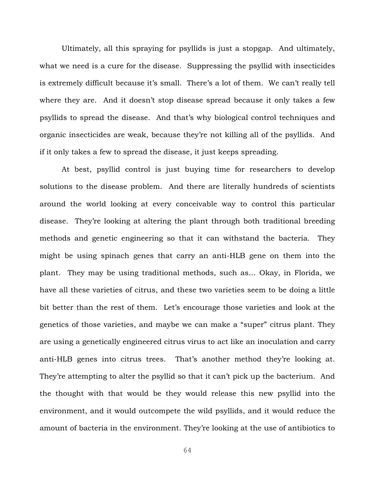Ultimately, all this spraying for psyllids is just a stopgap. And ultimately, what we need is a cure for the disease. Suppressing the psyllid with insecticides is extremely difficult because it's small. There's a lot of them. We can't really tell where they are. And it doesn't stop disease spread because it only takes a few psyllids to spread the disease. And that's why biological control techniques and organic insecticides are weak, because they're not killing all of the psyllids. And if it only takes a few to spread the disease, it just keeps spreading.

At best, psyllid control is just buying time for researchers to develop solutions to the disease problem. And there are literally hundreds of scientists around the world looking at every conceivable way to control this particular disease. They're looking at altering the plant through both traditional breeding methods and genetic engineering so that it can withstand the bacteria. They might be using spinach genes that carry an anti-HLB gene on them into the plant. They may be using traditional methods, such as… Okay, in Florida, we have all these varieties of citrus, and these two varieties seem to be doing a little bit better than the rest of them. Let's encourage those varieties and look at the genetics of those varieties, and maybe we can make a "super" citrus plant. They are using a genetically engineered citrus virus to act like an inoculation and carry anti-HLB genes into citrus trees. That's another method they're looking at. They're attempting to alter the psyllid so that it can't pick up the bacterium. And the thought with that would be they would release this new psyllid into the environment, and it would outcompete the wild psyllids, and it would reduce the amount of bacteria in the environment. They're looking at the use of antibiotics to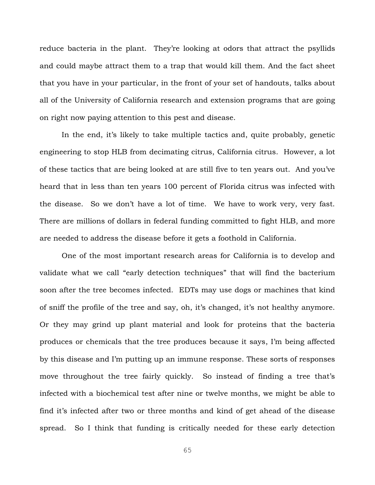reduce bacteria in the plant. They're looking at odors that attract the psyllids and could maybe attract them to a trap that would kill them. And the fact sheet that you have in your particular, in the front of your set of handouts, talks about all of the University of California research and extension programs that are going on right now paying attention to this pest and disease.

In the end, it's likely to take multiple tactics and, quite probably, genetic engineering to stop HLB from decimating citrus, California citrus. However, a lot of these tactics that are being looked at are still five to ten years out. And you've heard that in less than ten years 100 percent of Florida citrus was infected with the disease. So we don't have a lot of time. We have to work very, very fast. There are millions of dollars in federal funding committed to fight HLB, and more are needed to address the disease before it gets a foothold in California.

One of the most important research areas for California is to develop and validate what we call "early detection techniques" that will find the bacterium soon after the tree becomes infected. EDTs may use dogs or machines that kind of sniff the profile of the tree and say, oh, it's changed, it's not healthy anymore. Or they may grind up plant material and look for proteins that the bacteria produces or chemicals that the tree produces because it says, I'm being affected by this disease and I'm putting up an immune response. These sorts of responses move throughout the tree fairly quickly. So instead of finding a tree that's infected with a biochemical test after nine or twelve months, we might be able to find it's infected after two or three months and kind of get ahead of the disease spread. So I think that funding is critically needed for these early detection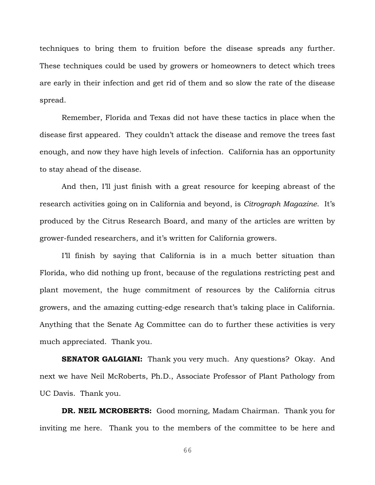techniques to bring them to fruition before the disease spreads any further. These techniques could be used by growers or homeowners to detect which trees are early in their infection and get rid of them and so slow the rate of the disease spread.

Remember, Florida and Texas did not have these tactics in place when the disease first appeared. They couldn't attack the disease and remove the trees fast enough, and now they have high levels of infection. California has an opportunity to stay ahead of the disease.

And then, I'll just finish with a great resource for keeping abreast of the research activities going on in California and beyond, is *Citrograph Magazine*. It's produced by the Citrus Research Board, and many of the articles are written by grower-funded researchers, and it's written for California growers.

I'll finish by saying that California is in a much better situation than Florida, who did nothing up front, because of the regulations restricting pest and plant movement, the huge commitment of resources by the California citrus growers, and the amazing cutting-edge research that's taking place in California. Anything that the Senate Ag Committee can do to further these activities is very much appreciated. Thank you.

**SENATOR GALGIANI:** Thank you very much. Any questions? Okay. And next we have Neil McRoberts, Ph.D., Associate Professor of Plant Pathology from UC Davis. Thank you.

**DR. NEIL MCROBERTS:** Good morning, Madam Chairman. Thank you for inviting me here. Thank you to the members of the committee to be here and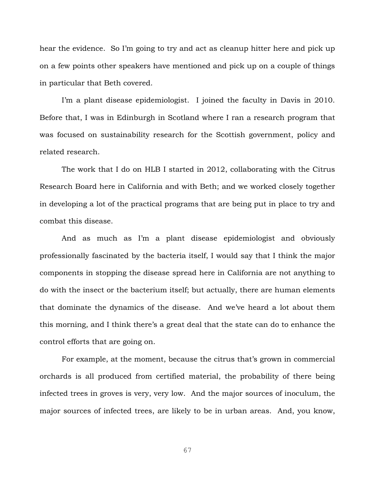hear the evidence. So I'm going to try and act as cleanup hitter here and pick up on a few points other speakers have mentioned and pick up on a couple of things in particular that Beth covered.

I'm a plant disease epidemiologist. I joined the faculty in Davis in 2010. Before that, I was in Edinburgh in Scotland where I ran a research program that was focused on sustainability research for the Scottish government, policy and related research.

The work that I do on HLB I started in 2012, collaborating with the Citrus Research Board here in California and with Beth; and we worked closely together in developing a lot of the practical programs that are being put in place to try and combat this disease.

And as much as I'm a plant disease epidemiologist and obviously professionally fascinated by the bacteria itself, I would say that I think the major components in stopping the disease spread here in California are not anything to do with the insect or the bacterium itself; but actually, there are human elements that dominate the dynamics of the disease. And we've heard a lot about them this morning, and I think there's a great deal that the state can do to enhance the control efforts that are going on.

For example, at the moment, because the citrus that's grown in commercial orchards is all produced from certified material, the probability of there being infected trees in groves is very, very low. And the major sources of inoculum, the major sources of infected trees, are likely to be in urban areas. And, you know,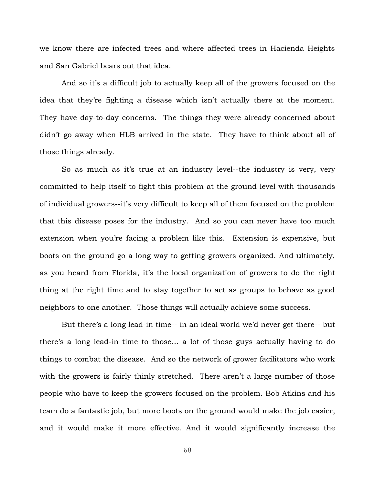we know there are infected trees and where affected trees in Hacienda Heights and San Gabriel bears out that idea.

And so it's a difficult job to actually keep all of the growers focused on the idea that they're fighting a disease which isn't actually there at the moment. They have day-to-day concerns. The things they were already concerned about didn't go away when HLB arrived in the state. They have to think about all of those things already.

So as much as it's true at an industry level--the industry is very, very committed to help itself to fight this problem at the ground level with thousands of individual growers--it's very difficult to keep all of them focused on the problem that this disease poses for the industry. And so you can never have too much extension when you're facing a problem like this. Extension is expensive, but boots on the ground go a long way to getting growers organized. And ultimately, as you heard from Florida, it's the local organization of growers to do the right thing at the right time and to stay together to act as groups to behave as good neighbors to one another. Those things will actually achieve some success.

But there's a long lead-in time-- in an ideal world we'd never get there-- but there's a long lead-in time to those… a lot of those guys actually having to do things to combat the disease. And so the network of grower facilitators who work with the growers is fairly thinly stretched. There aren't a large number of those people who have to keep the growers focused on the problem. Bob Atkins and his team do a fantastic job, but more boots on the ground would make the job easier, and it would make it more effective. And it would significantly increase the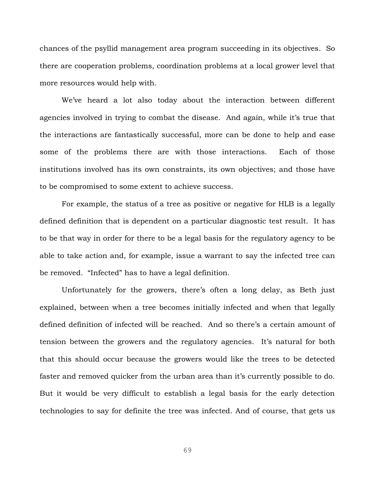chances of the psyllid management area program succeeding in its objectives. So there are cooperation problems, coordination problems at a local grower level that more resources would help with.

We've heard a lot also today about the interaction between different agencies involved in trying to combat the disease. And again, while it's true that the interactions are fantastically successful, more can be done to help and ease some of the problems there are with those interactions. Each of those institutions involved has its own constraints, its own objectives; and those have to be compromised to some extent to achieve success.

For example, the status of a tree as positive or negative for HLB is a legally defined definition that is dependent on a particular diagnostic test result. It has to be that way in order for there to be a legal basis for the regulatory agency to be able to take action and, for example, issue a warrant to say the infected tree can be removed. "Infected" has to have a legal definition.

Unfortunately for the growers, there's often a long delay, as Beth just explained, between when a tree becomes initially infected and when that legally defined definition of infected will be reached. And so there's a certain amount of tension between the growers and the regulatory agencies. It's natural for both that this should occur because the growers would like the trees to be detected faster and removed quicker from the urban area than it's currently possible to do. But it would be very difficult to establish a legal basis for the early detection technologies to say for definite the tree was infected. And of course, that gets us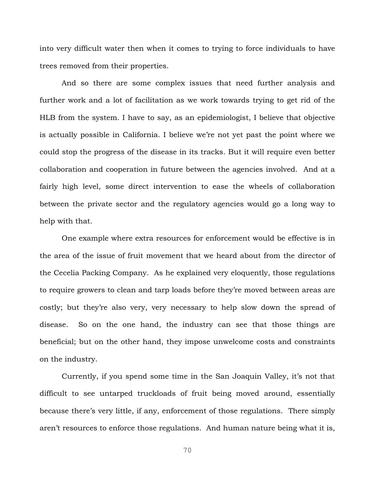into very difficult water then when it comes to trying to force individuals to have trees removed from their properties.

And so there are some complex issues that need further analysis and further work and a lot of facilitation as we work towards trying to get rid of the HLB from the system. I have to say, as an epidemiologist, I believe that objective is actually possible in California. I believe we're not yet past the point where we could stop the progress of the disease in its tracks. But it will require even better collaboration and cooperation in future between the agencies involved. And at a fairly high level, some direct intervention to ease the wheels of collaboration between the private sector and the regulatory agencies would go a long way to help with that.

One example where extra resources for enforcement would be effective is in the area of the issue of fruit movement that we heard about from the director of the Cecelia Packing Company. As he explained very eloquently, those regulations to require growers to clean and tarp loads before they're moved between areas are costly; but they're also very, very necessary to help slow down the spread of disease. So on the one hand, the industry can see that those things are beneficial; but on the other hand, they impose unwelcome costs and constraints on the industry.

Currently, if you spend some time in the San Joaquin Valley, it's not that difficult to see untarped truckloads of fruit being moved around, essentially because there's very little, if any, enforcement of those regulations. There simply aren't resources to enforce those regulations. And human nature being what it is,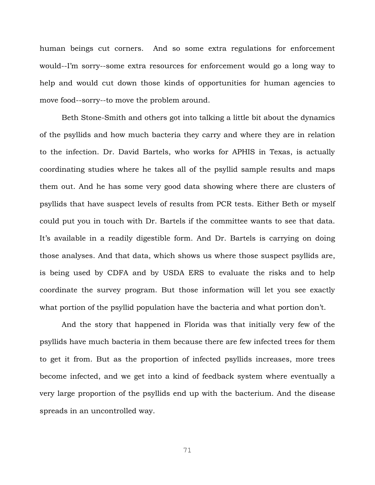human beings cut corners. And so some extra regulations for enforcement would--I'm sorry--some extra resources for enforcement would go a long way to help and would cut down those kinds of opportunities for human agencies to move food--sorry--to move the problem around.

Beth Stone-Smith and others got into talking a little bit about the dynamics of the psyllids and how much bacteria they carry and where they are in relation to the infection. Dr. David Bartels, who works for APHIS in Texas, is actually coordinating studies where he takes all of the psyllid sample results and maps them out. And he has some very good data showing where there are clusters of psyllids that have suspect levels of results from PCR tests. Either Beth or myself could put you in touch with Dr. Bartels if the committee wants to see that data. It's available in a readily digestible form. And Dr. Bartels is carrying on doing those analyses. And that data, which shows us where those suspect psyllids are, is being used by CDFA and by USDA ERS to evaluate the risks and to help coordinate the survey program. But those information will let you see exactly what portion of the psyllid population have the bacteria and what portion don't.

And the story that happened in Florida was that initially very few of the psyllids have much bacteria in them because there are few infected trees for them to get it from. But as the proportion of infected psyllids increases, more trees become infected, and we get into a kind of feedback system where eventually a very large proportion of the psyllids end up with the bacterium. And the disease spreads in an uncontrolled way.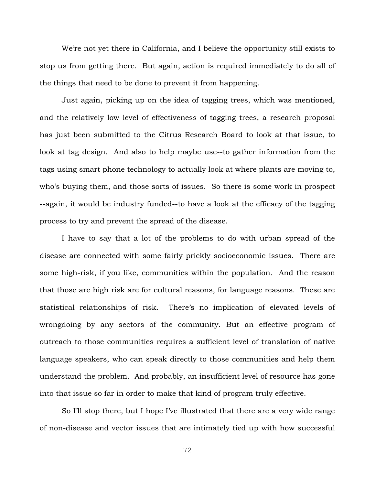We're not yet there in California, and I believe the opportunity still exists to stop us from getting there. But again, action is required immediately to do all of the things that need to be done to prevent it from happening.

Just again, picking up on the idea of tagging trees, which was mentioned, and the relatively low level of effectiveness of tagging trees, a research proposal has just been submitted to the Citrus Research Board to look at that issue, to look at tag design. And also to help maybe use--to gather information from the tags using smart phone technology to actually look at where plants are moving to, who's buying them, and those sorts of issues. So there is some work in prospect --again, it would be industry funded--to have a look at the efficacy of the tagging process to try and prevent the spread of the disease.

I have to say that a lot of the problems to do with urban spread of the disease are connected with some fairly prickly socioeconomic issues. There are some high-risk, if you like, communities within the population. And the reason that those are high risk are for cultural reasons, for language reasons. These are statistical relationships of risk. There's no implication of elevated levels of wrongdoing by any sectors of the community. But an effective program of outreach to those communities requires a sufficient level of translation of native language speakers, who can speak directly to those communities and help them understand the problem. And probably, an insufficient level of resource has gone into that issue so far in order to make that kind of program truly effective.

So I'll stop there, but I hope I've illustrated that there are a very wide range of non-disease and vector issues that are intimately tied up with how successful